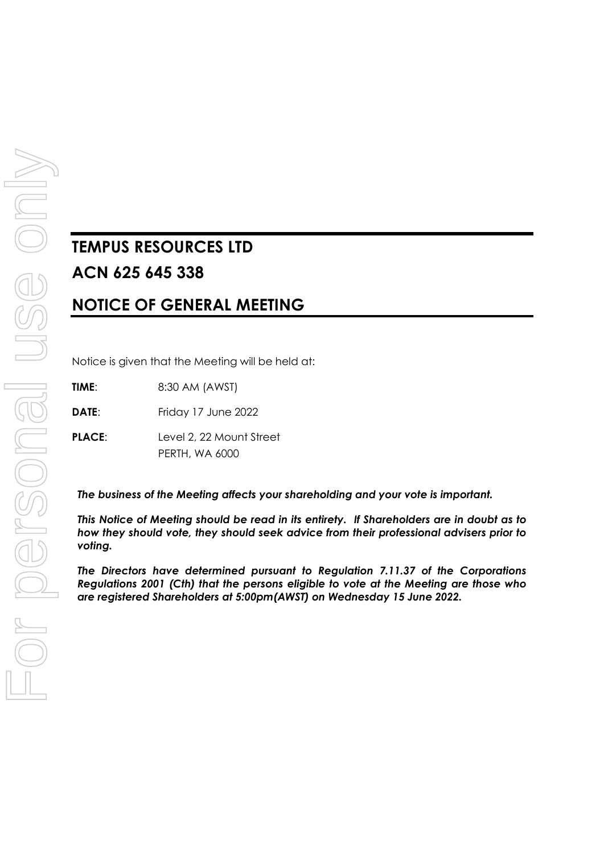# **TEMPUS RESOURCES LTD ACN 625 645 338**

# **NOTICE OF GENERAL MEETING**

Notice is given that the Meeting will be held at:

**TIME**: 8:30 AM (AWST)

**DATE:** Friday 17 June 2022

**PLACE**: Level 2, 22 Mount Street PERTH, WA 6000

*The business of the Meeting affects your shareholding and your vote is important.*

*This Notice of Meeting should be read in its entirety. If Shareholders are in doubt as to how they should vote, they should seek advice from their professional advisers prior to voting.*

*The Directors have determined pursuant to Regulation 7.11.37 of the Corporations Regulations 2001 (Cth) that the persons eligible to vote at the Meeting are those who are registered Shareholders at 5:00pm(AWST) on Wednesday 15 June 2022.*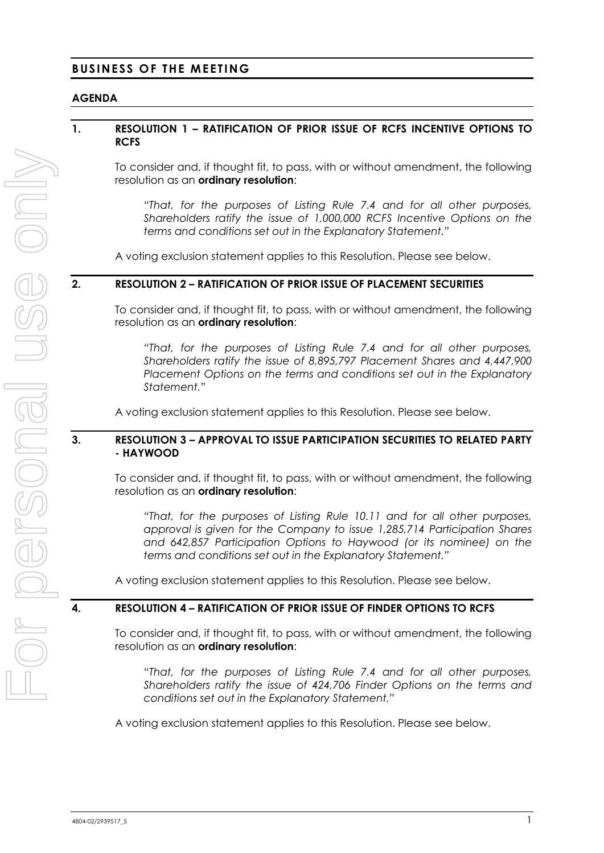#### **BUSINESS OF THE MEETING**

#### **AGENDA**

#### <span id="page-1-0"></span>**1. RESOLUTION [1](#page-1-0) – RATIFICATION OF PRIOR ISSUE OF RCFS INCENTIVE OPTIONS TO RCFS**

To consider and, if thought fit, to pass, with or without amendment, the following resolution as an **ordinary resolution**:

*"That, for the purposes of Listing Rule 7.4 and for all other purposes, Shareholders ratify the issue of 1,000,000 RCFS Incentive Options on the terms and conditions set out in the Explanatory Statement."*

A voting exclusion statement applies to this Resolution. Please see below.

#### <span id="page-1-1"></span>**2. RESOLUTION [2](#page-1-1) – RATIFICATION OF PRIOR ISSUE OF PLACEMENT SECURITIES**

To consider and, if thought fit, to pass, with or without amendment, the following resolution as an **ordinary resolution**:

*"That, for the purposes of Listing Rule 7.4 and for all other purposes, Shareholders ratify the issue of 8,895,797 Placement Shares and 4,447,900 Placement Options on the terms and conditions set out in the Explanatory Statement."*

A voting exclusion statement applies to this Resolution. Please see below.

#### <span id="page-1-2"></span>**3. RESOLUTION [3](#page-1-2) – APPROVAL TO ISSUE PARTICIPATION SECURITIES TO RELATED PARTY - HAYWOOD**

To consider and, if thought fit, to pass, with or without amendment, the following resolution as an **ordinary resolution**:

*"That, for the purposes of Listing Rule 10.11 and for all other purposes, approval is given for the Company to issue 1,285,714 Participation Shares and 642,857 Participation Options to Haywood (or its nominee) on the terms and conditions set out in the Explanatory Statement."*

A voting exclusion statement applies to this Resolution. Please see below.

#### <span id="page-1-3"></span>**4. RESOLUTION [4](#page-1-3) – RATIFICATION OF PRIOR ISSUE OF FINDER OPTIONS TO RCFS**

To consider and, if thought fit, to pass, with or without amendment, the following resolution as an **ordinary resolution**:

*"That, for the purposes of Listing Rule 7.4 and for all other purposes, Shareholders ratify the issue of 424,706 Finder Options on the terms and conditions set out in the Explanatory Statement."*

A voting exclusion statement applies to this Resolution. Please see below.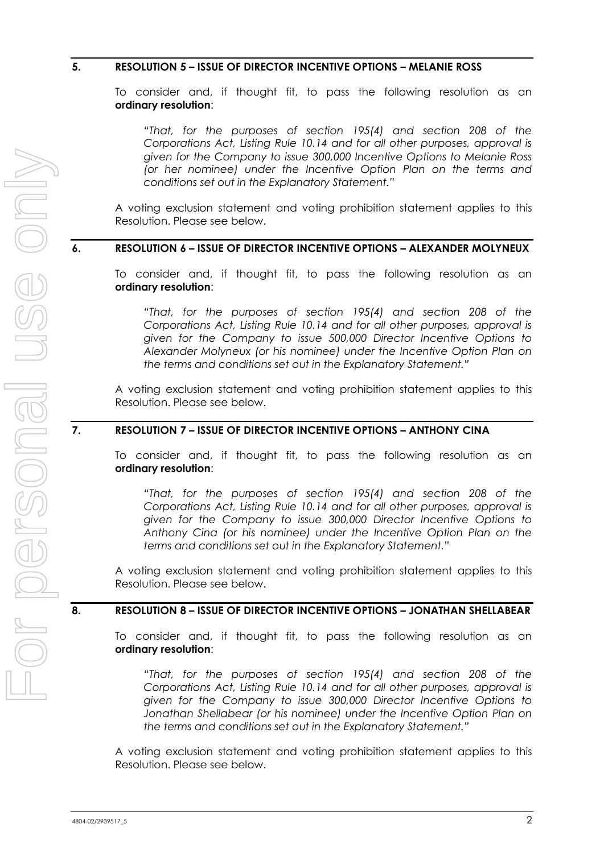#### <span id="page-2-0"></span>**5. RESOLUTION [5](#page-2-0) – ISSUE OF DIRECTOR INCENTIVE OPTIONS – MELANIE ROSS**

To consider and, if thought fit, to pass the following resolution as an **ordinary resolution**:

*"That, for the purposes of section 195(4) and section 208 of the Corporations Act, Listing Rule 10.14 and for all other purposes, approval is given for the Company to issue 300,000 Incentive Options to Melanie Ross (or her nominee) under the Incentive Option Plan on the terms and conditions set out in the Explanatory Statement."*

A voting exclusion statement and voting prohibition statement applies to this Resolution. Please see below.

#### <span id="page-2-1"></span>**6. RESOLUTION [6](#page-2-1) – ISSUE OF DIRECTOR INCENTIVE OPTIONS – ALEXANDER MOLYNEUX**

To consider and, if thought fit, to pass the following resolution as an **ordinary resolution**:

*"That, for the purposes of section 195(4) and section 208 of the Corporations Act, Listing Rule 10.14 and for all other purposes, approval is given for the Company to issue 500,000 Director Incentive Options to Alexander Molyneux (or his nominee) under the Incentive Option Plan on the terms and conditions set out in the Explanatory Statement."*

A voting exclusion statement and voting prohibition statement applies to this Resolution. Please see below.

#### <span id="page-2-2"></span>**7. RESOLUTION [7](#page-2-2) – ISSUE OF DIRECTOR INCENTIVE OPTIONS – ANTHONY CINA**

To consider and, if thought fit, to pass the following resolution as an **ordinary resolution**:

*"That, for the purposes of section 195(4) and section 208 of the Corporations Act, Listing Rule 10.14 and for all other purposes, approval is given for the Company to issue 300,000 Director Incentive Options to Anthony Cina (or his nominee) under the Incentive Option Plan on the terms and conditions set out in the Explanatory Statement."*

A voting exclusion statement and voting prohibition statement applies to this Resolution. Please see below.

#### <span id="page-2-3"></span>**8. RESOLUTION [8](#page-2-3) – ISSUE OF DIRECTOR INCENTIVE OPTIONS – JONATHAN SHELLABEAR**

To consider and, if thought fit, to pass the following resolution as an **ordinary resolution**:

*"That, for the purposes of section 195(4) and section 208 of the Corporations Act, Listing Rule 10.14 and for all other purposes, approval is given for the Company to issue 300,000 Director Incentive Options to Jonathan Shellabear (or his nominee) under the Incentive Option Plan on the terms and conditions set out in the Explanatory Statement."*

A voting exclusion statement and voting prohibition statement applies to this Resolution. Please see below.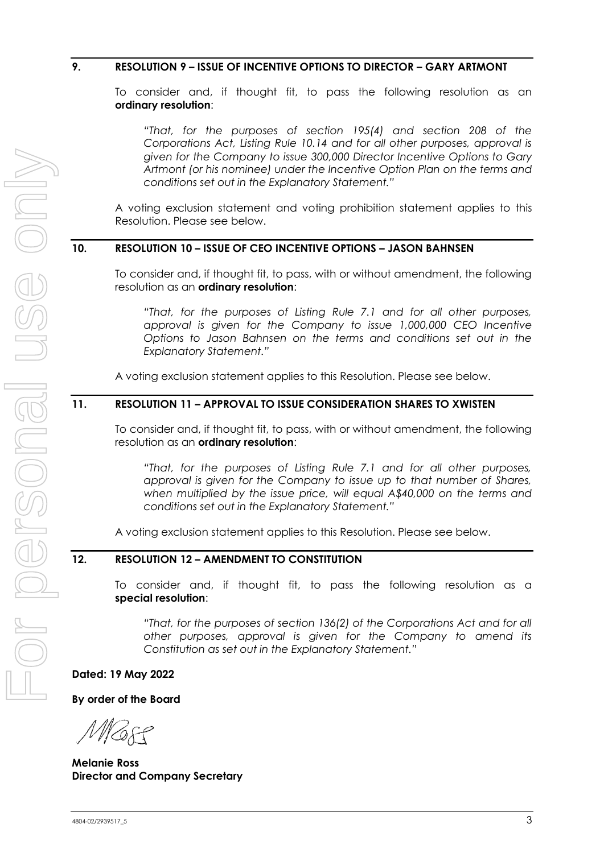#### <span id="page-3-0"></span>**9. RESOLUTION [9](#page-3-0) – ISSUE OF INCENTIVE OPTIONS TO DIRECTOR – GARY ARTMONT**

To consider and, if thought fit, to pass the following resolution as an **ordinary resolution**:

*"That, for the purposes of section 195(4) and section 208 of the Corporations Act, Listing Rule 10.14 and for all other purposes, approval is given for the Company to issue 300,000 Director Incentive Options to Gary Artmont (or his nominee) under the Incentive Option Plan on the terms and conditions set out in the Explanatory Statement."*

A voting exclusion statement and voting prohibition statement applies to this Resolution. Please see below.

#### <span id="page-3-1"></span>**10. RESOLUTION [10](#page-3-1) – ISSUE OF CEO INCENTIVE OPTIONS – JASON BAHNSEN**

To consider and, if thought fit, to pass, with or without amendment, the following resolution as an **ordinary resolution**:

*"That, for the purposes of Listing Rule 7.1 and for all other purposes, approval is given for the Company to issue 1,000,000 CEO Incentive Options to Jason Bahnsen on the terms and conditions set out in the Explanatory Statement."*

A voting exclusion statement applies to this Resolution. Please see below.

#### <span id="page-3-2"></span>**11. RESOLUTION [11](#page-3-2) – APPROVAL TO ISSUE CONSIDERATION SHARES TO XWISTEN**

To consider and, if thought fit, to pass, with or without amendment, the following resolution as an **ordinary resolution**:

*"That, for the purposes of Listing Rule 7.1 and for all other purposes, approval is given for the Company to issue up to that number of Shares, when multiplied by the issue price, will equal A\$40,000 on the terms and conditions set out in the Explanatory Statement."* 

A voting exclusion statement applies to this Resolution. Please see below.

#### <span id="page-3-3"></span>**12. RESOLUTION [12](#page-3-3) – AMENDMENT TO CONSTITUTION**

To consider and, if thought fit, to pass the following resolution as a **special resolution**:

*"That, for the purposes of section 136(2) of the Corporations Act and for all other purposes, approval is given for the Company to amend its Constitution as set out in the Explanatory Statement."*

**Dated: 19 May 2022**

**By order of the Board** 

**Melanie Ross Director and Company Secretary**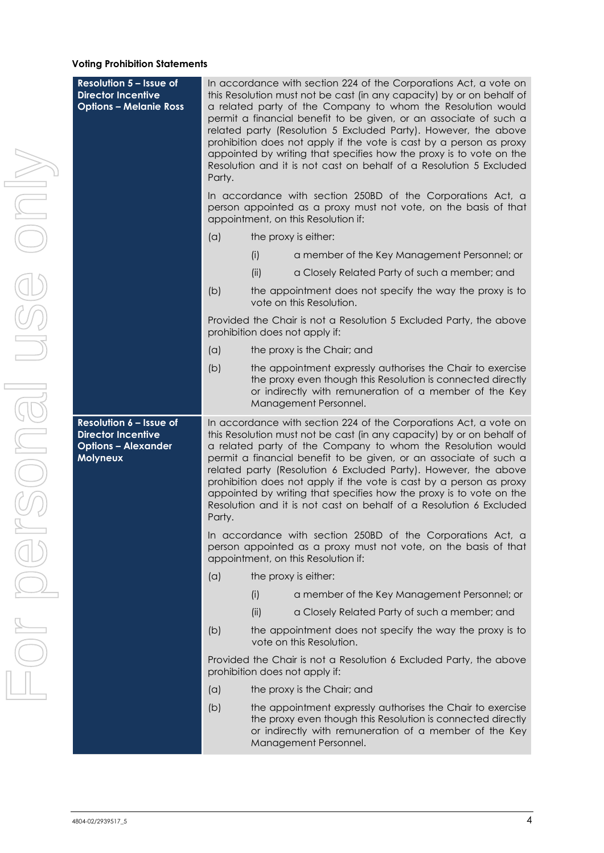#### **Voting Prohibition Statements**

| <b>Resolution 5 - Issue of</b><br><b>Director Incentive</b><br><b>Options - Melanie Ross</b>   | In accordance with section 224 of the Corporations Act, a vote on<br>this Resolution must not be cast (in any capacity) by or on behalf of<br>a related party of the Company to whom the Resolution would<br>permit a financial benefit to be given, or an associate of such a<br>related party (Resolution 5 Excluded Party). However, the above<br>prohibition does not apply if the vote is cast by a person as proxy<br>appointed by writing that specifies how the proxy is to vote on the<br>Resolution and it is not cast on behalf of a Resolution 5 Excluded<br>Party.<br>In accordance with section 250BD of the Corporations Act, a<br>person appointed as a proxy must not vote, on the basis of that<br>appointment, on this Resolution if: |      |                                                                                                                                                                                                                                                                                                                                                                                                                                                                                                                                                                       |  |  |  |
|------------------------------------------------------------------------------------------------|----------------------------------------------------------------------------------------------------------------------------------------------------------------------------------------------------------------------------------------------------------------------------------------------------------------------------------------------------------------------------------------------------------------------------------------------------------------------------------------------------------------------------------------------------------------------------------------------------------------------------------------------------------------------------------------------------------------------------------------------------------|------|-----------------------------------------------------------------------------------------------------------------------------------------------------------------------------------------------------------------------------------------------------------------------------------------------------------------------------------------------------------------------------------------------------------------------------------------------------------------------------------------------------------------------------------------------------------------------|--|--|--|
|                                                                                                | (a)                                                                                                                                                                                                                                                                                                                                                                                                                                                                                                                                                                                                                                                                                                                                                      |      | the proxy is either:                                                                                                                                                                                                                                                                                                                                                                                                                                                                                                                                                  |  |  |  |
|                                                                                                |                                                                                                                                                                                                                                                                                                                                                                                                                                                                                                                                                                                                                                                                                                                                                          | (i)  | a member of the Key Management Personnel; or                                                                                                                                                                                                                                                                                                                                                                                                                                                                                                                          |  |  |  |
|                                                                                                |                                                                                                                                                                                                                                                                                                                                                                                                                                                                                                                                                                                                                                                                                                                                                          | (ii) | a Closely Related Party of such a member; and                                                                                                                                                                                                                                                                                                                                                                                                                                                                                                                         |  |  |  |
|                                                                                                | (b)                                                                                                                                                                                                                                                                                                                                                                                                                                                                                                                                                                                                                                                                                                                                                      |      | the appointment does not specify the way the proxy is to<br>vote on this Resolution.                                                                                                                                                                                                                                                                                                                                                                                                                                                                                  |  |  |  |
|                                                                                                |                                                                                                                                                                                                                                                                                                                                                                                                                                                                                                                                                                                                                                                                                                                                                          |      | Provided the Chair is not a Resolution 5 Excluded Party, the above<br>prohibition does not apply if:                                                                                                                                                                                                                                                                                                                                                                                                                                                                  |  |  |  |
|                                                                                                | (a)                                                                                                                                                                                                                                                                                                                                                                                                                                                                                                                                                                                                                                                                                                                                                      |      | the proxy is the Chair; and                                                                                                                                                                                                                                                                                                                                                                                                                                                                                                                                           |  |  |  |
|                                                                                                | (b)                                                                                                                                                                                                                                                                                                                                                                                                                                                                                                                                                                                                                                                                                                                                                      |      | the appointment expressly authorises the Chair to exercise<br>the proxy even though this Resolution is connected directly<br>or indirectly with remuneration of a member of the Key<br>Management Personnel.                                                                                                                                                                                                                                                                                                                                                          |  |  |  |
|                                                                                                |                                                                                                                                                                                                                                                                                                                                                                                                                                                                                                                                                                                                                                                                                                                                                          |      |                                                                                                                                                                                                                                                                                                                                                                                                                                                                                                                                                                       |  |  |  |
| Resolution 6 - Issue of<br><b>Director Incentive</b><br><b>Options - Alexander</b><br>Molyneux | Party.                                                                                                                                                                                                                                                                                                                                                                                                                                                                                                                                                                                                                                                                                                                                                   |      | In accordance with section 224 of the Corporations Act, a vote on<br>this Resolution must not be cast (in any capacity) by or on behalf of<br>a related party of the Company to whom the Resolution would<br>permit a financial benefit to be given, or an associate of such a<br>related party (Resolution 6 Excluded Party). However, the above<br>prohibition does not apply if the vote is cast by a person as proxy<br>appointed by writing that specifies how the proxy is to vote on the<br>Resolution and it is not cast on behalf of a Resolution 6 Excluded |  |  |  |
|                                                                                                |                                                                                                                                                                                                                                                                                                                                                                                                                                                                                                                                                                                                                                                                                                                                                          |      | In accordance with section 250BD of the Corporations Act, a<br>person appointed as a proxy must not vote, on the basis of that<br>appointment, on this Resolution if:                                                                                                                                                                                                                                                                                                                                                                                                 |  |  |  |
|                                                                                                | (a)                                                                                                                                                                                                                                                                                                                                                                                                                                                                                                                                                                                                                                                                                                                                                      |      | the proxy is either:                                                                                                                                                                                                                                                                                                                                                                                                                                                                                                                                                  |  |  |  |
|                                                                                                |                                                                                                                                                                                                                                                                                                                                                                                                                                                                                                                                                                                                                                                                                                                                                          | (i)  | a member of the Key Management Personnel; or                                                                                                                                                                                                                                                                                                                                                                                                                                                                                                                          |  |  |  |
|                                                                                                |                                                                                                                                                                                                                                                                                                                                                                                                                                                                                                                                                                                                                                                                                                                                                          | (ii) | a Closely Related Party of such a member; and                                                                                                                                                                                                                                                                                                                                                                                                                                                                                                                         |  |  |  |
|                                                                                                | (b)                                                                                                                                                                                                                                                                                                                                                                                                                                                                                                                                                                                                                                                                                                                                                      |      | the appointment does not specify the way the proxy is to<br>vote on this Resolution.                                                                                                                                                                                                                                                                                                                                                                                                                                                                                  |  |  |  |
|                                                                                                |                                                                                                                                                                                                                                                                                                                                                                                                                                                                                                                                                                                                                                                                                                                                                          |      | Provided the Chair is not a Resolution 6 Excluded Party, the above<br>prohibition does not apply if:                                                                                                                                                                                                                                                                                                                                                                                                                                                                  |  |  |  |
|                                                                                                | (a)                                                                                                                                                                                                                                                                                                                                                                                                                                                                                                                                                                                                                                                                                                                                                      |      | the proxy is the Chair; and                                                                                                                                                                                                                                                                                                                                                                                                                                                                                                                                           |  |  |  |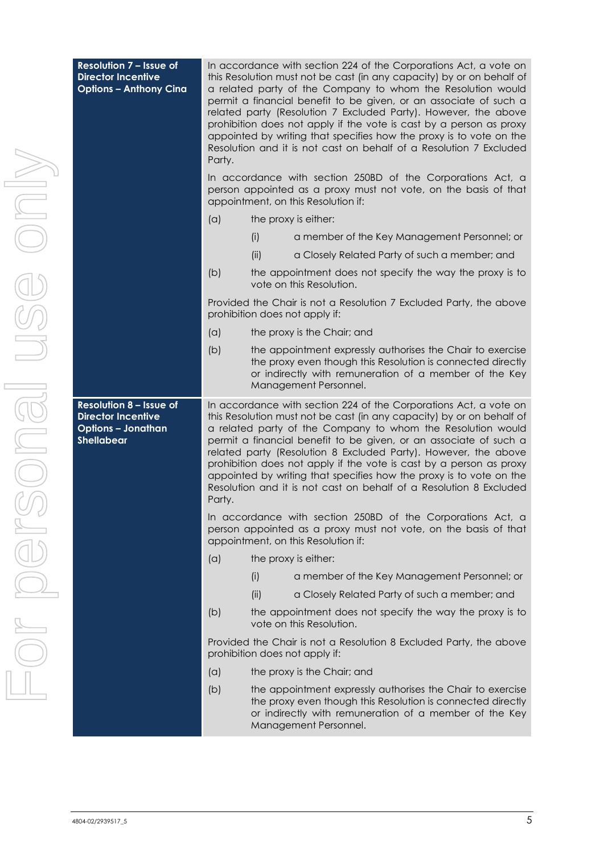| <b>Resolution 7 - Issue of</b><br><b>Director Incentive</b><br><b>Options - Anthony Cina</b>                  | In accordance with section 224 of the Corporations Act, a vote on<br>this Resolution must not be cast (in any capacity) by or on behalf of<br>a related party of the Company to whom the Resolution would<br>permit a financial benefit to be given, or an associate of such a<br>related party (Resolution 7 Excluded Party). However, the above<br>prohibition does not apply if the vote is cast by a person as proxy<br>appointed by writing that specifies how the proxy is to vote on the<br>Resolution and it is not cast on behalf of a Resolution 7 Excluded<br>Party.<br>In accordance with section 250BD of the Corporations Act, a<br>person appointed as a proxy must not vote, on the basis of that |      |                                                                                                                                                                                                                                                                                                                                                                                                                                                                                                                                                                       |  |  |
|---------------------------------------------------------------------------------------------------------------|-------------------------------------------------------------------------------------------------------------------------------------------------------------------------------------------------------------------------------------------------------------------------------------------------------------------------------------------------------------------------------------------------------------------------------------------------------------------------------------------------------------------------------------------------------------------------------------------------------------------------------------------------------------------------------------------------------------------|------|-----------------------------------------------------------------------------------------------------------------------------------------------------------------------------------------------------------------------------------------------------------------------------------------------------------------------------------------------------------------------------------------------------------------------------------------------------------------------------------------------------------------------------------------------------------------------|--|--|
|                                                                                                               |                                                                                                                                                                                                                                                                                                                                                                                                                                                                                                                                                                                                                                                                                                                   |      | appointment, on this Resolution if:                                                                                                                                                                                                                                                                                                                                                                                                                                                                                                                                   |  |  |
|                                                                                                               | (a)                                                                                                                                                                                                                                                                                                                                                                                                                                                                                                                                                                                                                                                                                                               |      | the proxy is either:                                                                                                                                                                                                                                                                                                                                                                                                                                                                                                                                                  |  |  |
|                                                                                                               |                                                                                                                                                                                                                                                                                                                                                                                                                                                                                                                                                                                                                                                                                                                   | (i)  | a member of the Key Management Personnel; or                                                                                                                                                                                                                                                                                                                                                                                                                                                                                                                          |  |  |
|                                                                                                               |                                                                                                                                                                                                                                                                                                                                                                                                                                                                                                                                                                                                                                                                                                                   | (ii) | a Closely Related Party of such a member; and                                                                                                                                                                                                                                                                                                                                                                                                                                                                                                                         |  |  |
|                                                                                                               | (b)                                                                                                                                                                                                                                                                                                                                                                                                                                                                                                                                                                                                                                                                                                               |      | the appointment does not specify the way the proxy is to<br>vote on this Resolution.                                                                                                                                                                                                                                                                                                                                                                                                                                                                                  |  |  |
|                                                                                                               |                                                                                                                                                                                                                                                                                                                                                                                                                                                                                                                                                                                                                                                                                                                   |      | Provided the Chair is not a Resolution 7 Excluded Party, the above<br>prohibition does not apply if:                                                                                                                                                                                                                                                                                                                                                                                                                                                                  |  |  |
|                                                                                                               | (a)                                                                                                                                                                                                                                                                                                                                                                                                                                                                                                                                                                                                                                                                                                               |      | the proxy is the Chair; and                                                                                                                                                                                                                                                                                                                                                                                                                                                                                                                                           |  |  |
|                                                                                                               | (b)                                                                                                                                                                                                                                                                                                                                                                                                                                                                                                                                                                                                                                                                                                               |      | the appointment expressly authorises the Chair to exercise<br>the proxy even though this Resolution is connected directly<br>or indirectly with remuneration of a member of the Key<br>Management Personnel.                                                                                                                                                                                                                                                                                                                                                          |  |  |
| <b>Resolution 8 - Issue of</b><br><b>Director Incentive</b><br><b>Options - Jonathan</b><br><b>Shellabear</b> | Party.                                                                                                                                                                                                                                                                                                                                                                                                                                                                                                                                                                                                                                                                                                            |      | In accordance with section 224 of the Corporations Act, a vote on<br>this Resolution must not be cast (in any capacity) by or on behalf of<br>a related party of the Company to whom the Resolution would<br>permit a financial benefit to be given, or an associate of such a<br>related party (Resolution 8 Excluded Party). However, the above<br>prohibition does not apply if the vote is cast by a person as proxy<br>appointed by writing that specifies how the proxy is to vote on the<br>Resolution and it is not cast on behalf of a Resolution 8 Excluded |  |  |
|                                                                                                               |                                                                                                                                                                                                                                                                                                                                                                                                                                                                                                                                                                                                                                                                                                                   |      | In accordance with section 250BD of the Corporations Act, a<br>person appointed as a proxy must not vote, on the basis of that<br>appointment, on this Resolution if:                                                                                                                                                                                                                                                                                                                                                                                                 |  |  |
|                                                                                                               | (a)                                                                                                                                                                                                                                                                                                                                                                                                                                                                                                                                                                                                                                                                                                               |      | the proxy is either:                                                                                                                                                                                                                                                                                                                                                                                                                                                                                                                                                  |  |  |
|                                                                                                               |                                                                                                                                                                                                                                                                                                                                                                                                                                                                                                                                                                                                                                                                                                                   | (i)  | a member of the Key Management Personnel; or                                                                                                                                                                                                                                                                                                                                                                                                                                                                                                                          |  |  |
|                                                                                                               |                                                                                                                                                                                                                                                                                                                                                                                                                                                                                                                                                                                                                                                                                                                   | (ii) | a Closely Related Party of such a member; and                                                                                                                                                                                                                                                                                                                                                                                                                                                                                                                         |  |  |
|                                                                                                               | (b)                                                                                                                                                                                                                                                                                                                                                                                                                                                                                                                                                                                                                                                                                                               |      | the appointment does not specify the way the proxy is to<br>vote on this Resolution.                                                                                                                                                                                                                                                                                                                                                                                                                                                                                  |  |  |
|                                                                                                               |                                                                                                                                                                                                                                                                                                                                                                                                                                                                                                                                                                                                                                                                                                                   |      | Provided the Chair is not a Resolution 8 Excluded Party, the above<br>prohibition does not apply if:                                                                                                                                                                                                                                                                                                                                                                                                                                                                  |  |  |
|                                                                                                               | (a)                                                                                                                                                                                                                                                                                                                                                                                                                                                                                                                                                                                                                                                                                                               |      | the proxy is the Chair; and                                                                                                                                                                                                                                                                                                                                                                                                                                                                                                                                           |  |  |
|                                                                                                               | (b)                                                                                                                                                                                                                                                                                                                                                                                                                                                                                                                                                                                                                                                                                                               |      | the appointment expressly authorises the Chair to exercise<br>the proxy even though this Resolution is connected directly<br>or indirectly with remuneration of a member of the Key<br>Management Personnel.                                                                                                                                                                                                                                                                                                                                                          |  |  |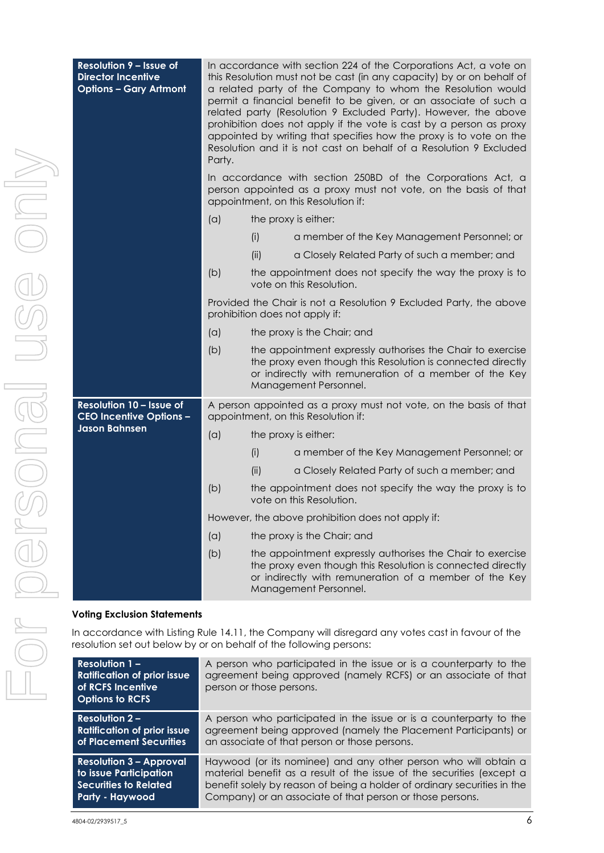| <b>Resolution 9 - Issue of</b><br><b>Director Incentive</b><br><b>Options - Gary Artmont</b> | In accordance with section 224 of the Corporations Act, a vote on<br>this Resolution must not be cast (in any capacity) by or on behalf of<br>a related party of the Company to whom the Resolution would<br>permit a financial benefit to be given, or an associate of such a<br>related party (Resolution 9 Excluded Party). However, the above<br>prohibition does not apply if the vote is cast by a person as proxy<br>appointed by writing that specifies how the proxy is to vote on the<br>Resolution and it is not cast on behalf of a Resolution 9 Excluded<br>Party. |                                                                                                                                                                                                              |                                                                                                                                                                                                              |  |  |  |  |
|----------------------------------------------------------------------------------------------|---------------------------------------------------------------------------------------------------------------------------------------------------------------------------------------------------------------------------------------------------------------------------------------------------------------------------------------------------------------------------------------------------------------------------------------------------------------------------------------------------------------------------------------------------------------------------------|--------------------------------------------------------------------------------------------------------------------------------------------------------------------------------------------------------------|--------------------------------------------------------------------------------------------------------------------------------------------------------------------------------------------------------------|--|--|--|--|
|                                                                                              |                                                                                                                                                                                                                                                                                                                                                                                                                                                                                                                                                                                 |                                                                                                                                                                                                              | In accordance with section 250BD of the Corporations Act, a<br>person appointed as a proxy must not vote, on the basis of that<br>appointment, on this Resolution if:                                        |  |  |  |  |
|                                                                                              | (a)                                                                                                                                                                                                                                                                                                                                                                                                                                                                                                                                                                             |                                                                                                                                                                                                              | the proxy is either:                                                                                                                                                                                         |  |  |  |  |
|                                                                                              |                                                                                                                                                                                                                                                                                                                                                                                                                                                                                                                                                                                 | (i)                                                                                                                                                                                                          | a member of the Key Management Personnel; or                                                                                                                                                                 |  |  |  |  |
|                                                                                              |                                                                                                                                                                                                                                                                                                                                                                                                                                                                                                                                                                                 | (ii)                                                                                                                                                                                                         | a Closely Related Party of such a member; and                                                                                                                                                                |  |  |  |  |
|                                                                                              | (b)                                                                                                                                                                                                                                                                                                                                                                                                                                                                                                                                                                             |                                                                                                                                                                                                              | the appointment does not specify the way the proxy is to<br>vote on this Resolution.                                                                                                                         |  |  |  |  |
|                                                                                              |                                                                                                                                                                                                                                                                                                                                                                                                                                                                                                                                                                                 |                                                                                                                                                                                                              | Provided the Chair is not a Resolution 9 Excluded Party, the above<br>prohibition does not apply if:                                                                                                         |  |  |  |  |
|                                                                                              | (a)                                                                                                                                                                                                                                                                                                                                                                                                                                                                                                                                                                             |                                                                                                                                                                                                              | the proxy is the Chair; and                                                                                                                                                                                  |  |  |  |  |
|                                                                                              | (b)                                                                                                                                                                                                                                                                                                                                                                                                                                                                                                                                                                             | the appointment expressly authorises the Chair to exercise<br>the proxy even though this Resolution is connected directly<br>or indirectly with remuneration of a member of the Key<br>Management Personnel. |                                                                                                                                                                                                              |  |  |  |  |
| Resolution 10 - Issue of<br><b>CEO Incentive Options -</b>                                   |                                                                                                                                                                                                                                                                                                                                                                                                                                                                                                                                                                                 |                                                                                                                                                                                                              | A person appointed as a proxy must not vote, on the basis of that<br>appointment, on this Resolution if:                                                                                                     |  |  |  |  |
| <b>Jason Bahnsen</b>                                                                         | (a)                                                                                                                                                                                                                                                                                                                                                                                                                                                                                                                                                                             |                                                                                                                                                                                                              | the proxy is either:                                                                                                                                                                                         |  |  |  |  |
|                                                                                              |                                                                                                                                                                                                                                                                                                                                                                                                                                                                                                                                                                                 | (i)                                                                                                                                                                                                          | a member of the Key Management Personnel; or                                                                                                                                                                 |  |  |  |  |
|                                                                                              |                                                                                                                                                                                                                                                                                                                                                                                                                                                                                                                                                                                 | (ii)                                                                                                                                                                                                         | a Closely Related Party of such a member; and                                                                                                                                                                |  |  |  |  |
|                                                                                              | (b)                                                                                                                                                                                                                                                                                                                                                                                                                                                                                                                                                                             |                                                                                                                                                                                                              | the appointment does not specify the way the proxy is to<br>vote on this Resolution.                                                                                                                         |  |  |  |  |
|                                                                                              |                                                                                                                                                                                                                                                                                                                                                                                                                                                                                                                                                                                 |                                                                                                                                                                                                              | However, the above prohibition does not apply if:                                                                                                                                                            |  |  |  |  |
|                                                                                              | (a)                                                                                                                                                                                                                                                                                                                                                                                                                                                                                                                                                                             |                                                                                                                                                                                                              | the proxy is the Chair; and                                                                                                                                                                                  |  |  |  |  |
|                                                                                              | (b)                                                                                                                                                                                                                                                                                                                                                                                                                                                                                                                                                                             |                                                                                                                                                                                                              | the appointment expressly authorises the Chair to exercise<br>the proxy even though this Resolution is connected directly<br>or indirectly with remuneration of a member of the Key<br>Management Personnel. |  |  |  |  |
| <b>Voting Exclusion Statements</b>                                                           |                                                                                                                                                                                                                                                                                                                                                                                                                                                                                                                                                                                 |                                                                                                                                                                                                              |                                                                                                                                                                                                              |  |  |  |  |
|                                                                                              |                                                                                                                                                                                                                                                                                                                                                                                                                                                                                                                                                                                 |                                                                                                                                                                                                              |                                                                                                                                                                                                              |  |  |  |  |
|                                                                                              | In accordance with Listing Rule 14.11, the Company will disregard any votes cast in favour of the<br>resolution set out below by or on behalf of the following persons:                                                                                                                                                                                                                                                                                                                                                                                                         |                                                                                                                                                                                                              |                                                                                                                                                                                                              |  |  |  |  |

| Resolution $1 -$<br><b>Ratification of prior issue</b><br>of RCFS Incentive<br><b>Options to RCFS</b> | A person who participated in the issue or is a counterparty to the<br>agreement being approved (namely RCFS) or an associate of that<br>person or those persons. |
|-------------------------------------------------------------------------------------------------------|------------------------------------------------------------------------------------------------------------------------------------------------------------------|
| Resolution $2 -$                                                                                      | A person who participated in the issue or is a counterparty to the                                                                                               |
| <b>Ratification of prior issue</b>                                                                    | agreement being approved (namely the Placement Participants) or                                                                                                  |
| of Placement Securities                                                                               | an associate of that person or those persons.                                                                                                                    |
| <b>Resolution 3 - Approval</b>                                                                        | Haywood (or its nominee) and any other person who will obtain a                                                                                                  |
| to issue Participation                                                                                | material benefit as a result of the issue of the securities (except a                                                                                            |
| Securities to Related                                                                                 | benefit solely by reason of being a holder of ordinary securities in the                                                                                         |
| Party - Haywood                                                                                       | Company) or an associate of that person or those persons.                                                                                                        |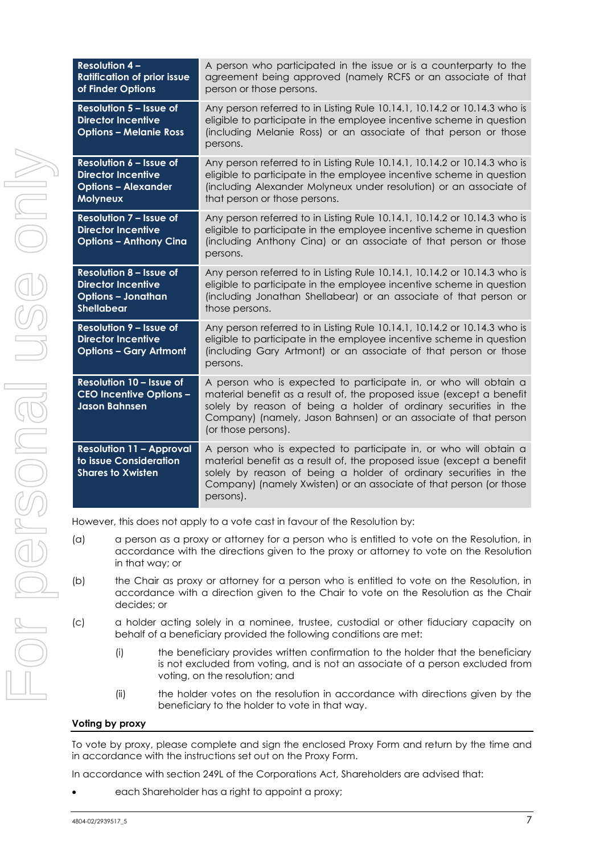| <b>Resolution 4-</b><br><b>Ratification of prior issue</b><br>of Finder Options                               | A person who participated in the issue or is a counterparty to the<br>agreement being approved (namely RCFS or an associate of that<br>person or those persons.                                                                                                                                         |
|---------------------------------------------------------------------------------------------------------------|---------------------------------------------------------------------------------------------------------------------------------------------------------------------------------------------------------------------------------------------------------------------------------------------------------|
| <b>Resolution 5 - Issue of</b><br><b>Director Incentive</b><br><b>Options - Melanie Ross</b>                  | Any person referred to in Listing Rule 10.14.1, 10.14.2 or 10.14.3 who is<br>eligible to participate in the employee incentive scheme in question<br>(including Melanie Ross) or an associate of that person or those<br>persons.                                                                       |
| Resolution 6 - Issue of<br><b>Director Incentive</b><br><b>Options - Alexander</b><br><b>Molyneux</b>         | Any person referred to in Listing Rule 10.14.1, 10.14.2 or 10.14.3 who is<br>eligible to participate in the employee incentive scheme in question<br>(including Alexander Molyneux under resolution) or an associate of<br>that person or those persons.                                                |
| <b>Resolution 7 - Issue of</b><br><b>Director Incentive</b><br><b>Options - Anthony Cina</b>                  | Any person referred to in Listing Rule 10.14.1, 10.14.2 or 10.14.3 who is<br>eligible to participate in the employee incentive scheme in question<br>(including Anthony Cina) or an associate of that person or those<br>persons.                                                                       |
| <b>Resolution 8 - Issue of</b><br><b>Director Incentive</b><br><b>Options - Jonathan</b><br><b>Shellabear</b> | Any person referred to in Listing Rule 10.14.1, 10.14.2 or 10.14.3 who is<br>eligible to participate in the employee incentive scheme in question<br>(including Jonathan Shellabear) or an associate of that person or<br>those persons.                                                                |
| <b>Resolution 9 - Issue of</b><br><b>Director Incentive</b><br><b>Options - Gary Artmont</b>                  | Any person referred to in Listing Rule 10.14.1, 10.14.2 or 10.14.3 who is<br>eligible to participate in the employee incentive scheme in question<br>(including Gary Artmont) or an associate of that person or those<br>persons.                                                                       |
| Resolution 10 - Issue of<br><b>CEO Incentive Options -</b><br><b>Jason Bahnsen</b>                            | A person who is expected to participate in, or who will obtain a<br>material benefit as a result of, the proposed issue (except a benefit<br>solely by reason of being a holder of ordinary securities in the<br>Company) (namely, Jason Bahnsen) or an associate of that person<br>(or those persons). |
| <b>Resolution 11 - Approval</b><br>to issue Consideration<br><b>Shares to Xwisten</b>                         | A person who is expected to participate in, or who will obtain a<br>material benefit as a result of, the proposed issue (except a benefit<br>solely by reason of being a holder of ordinary securities in the<br>Company) (namely Xwisten) or an associate of that person (or those<br>persons).        |

However, this does not apply to a vote cast in favour of the Resolution by:

- (a) a person as a proxy or attorney for a person who is entitled to vote on the Resolution, in accordance with the directions given to the proxy or attorney to vote on the Resolution in that way; or
- (b) the Chair as proxy or attorney for a person who is entitled to vote on the Resolution, in accordance with a direction given to the Chair to vote on the Resolution as the Chair decides; or
- (c) a holder acting solely in a nominee, trustee, custodial or other fiduciary capacity on behalf of a beneficiary provided the following conditions are met:
	- (i) the beneficiary provides written confirmation to the holder that the beneficiary is not excluded from voting, and is not an associate of a person excluded from voting, on the resolution; and
	- (ii) the holder votes on the resolution in accordance with directions given by the beneficiary to the holder to vote in that way.

#### **Voting by proxy**

To vote by proxy, please complete and sign the enclosed Proxy Form and return by the time and in accordance with the instructions set out on the Proxy Form.

In accordance with section 249L of the Corporations Act, Shareholders are advised that:

each Shareholder has a right to appoint a proxy;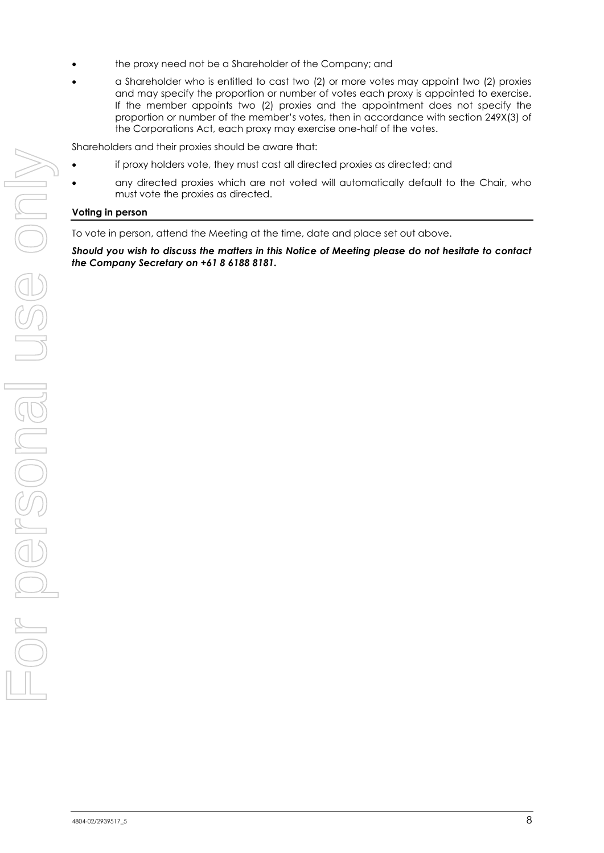- the proxy need not be a Shareholder of the Company; and
- a Shareholder who is entitled to cast two (2) or more votes may appoint two (2) proxies and may specify the proportion or number of votes each proxy is appointed to exercise. If the member appoints two (2) proxies and the appointment does not specify the proportion or number of the member's votes, then in accordance with section 249X(3) of the Corporations Act, each proxy may exercise one-half of the votes.

Shareholders and their proxies should be aware that:

- if proxy holders vote, they must cast all directed proxies as directed; and
- any directed proxies which are not voted will automatically default to the Chair, who must vote the proxies as directed.

#### **Voting in person**

To vote in person, attend the Meeting at the time, date and place set out above.

*Should you wish to discuss the matters in this Notice of Meeting please do not hesitate to contact the Company Secretary on +61 8 6188 8181.*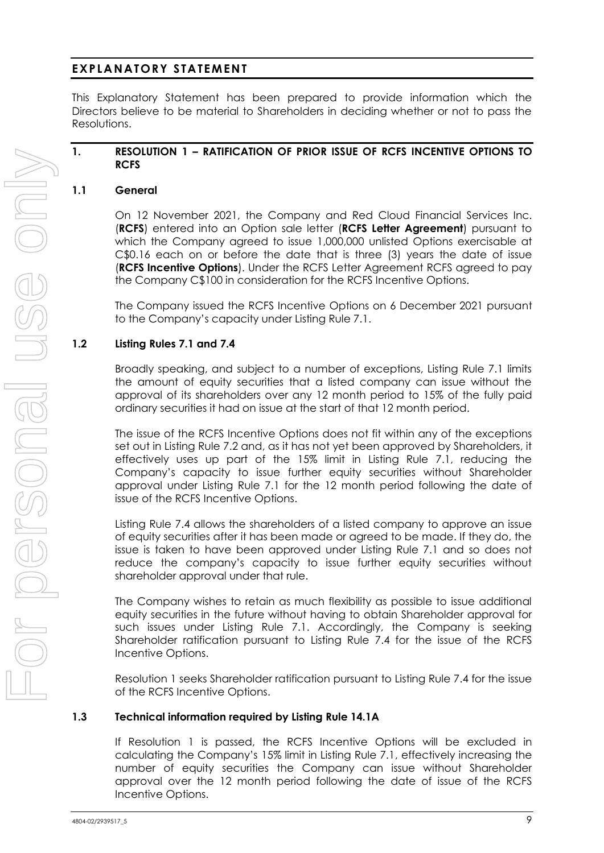#### **EXPLANATORY STATEMENT**

This Explanatory Statement has been prepared to provide information which the Directors believe to be material to Shareholders in deciding whether or not to pass the Resolutions.

#### **1. RESOLUTION [1](#page-1-0) – RATIFICATION OF PRIOR ISSUE OF RCFS INCENTIVE OPTIONS TO RCFS**

#### <span id="page-9-0"></span>**1.1 General**

On 12 November 2021, the Company and Red Cloud Financial Services Inc. (**RCFS**) entered into an Option sale letter (**RCFS Letter Agreement**) pursuant to which the Company agreed to issue 1,000,000 unlisted Options exercisable at C\$0.16 each on or before the date that is three (3) years the date of issue (**RCFS Incentive Options**). Under the RCFS Letter Agreement RCFS agreed to pay the Company C\$100 in consideration for the RCFS Incentive Options.

The Company issued the RCFS Incentive Options on 6 December 2021 pursuant to the Company's capacity under Listing Rule 7.1.

#### <span id="page-9-1"></span>**1.2 Listing Rules 7.1 and 7.4**

Broadly speaking, and subject to a number of exceptions, Listing Rule 7.1 limits the amount of equity securities that a listed company can issue without the approval of its shareholders over any 12 month period to 15% of the fully paid ordinary securities it had on issue at the start of that 12 month period.

The issue of the RCFS Incentive Options does not fit within any of the exceptions set out in Listing Rule 7.2 and, as it has not yet been approved by Shareholders, it effectively uses up part of the 15% limit in Listing Rule 7.1, reducing the Company's capacity to issue further equity securities without Shareholder approval under Listing Rule 7.1 for the 12 month period following the date of issue of the RCFS Incentive Options.

Listing Rule 7.4 allows the shareholders of a listed company to approve an issue of equity securities after it has been made or agreed to be made. If they do, the issue is taken to have been approved under Listing Rule 7.1 and so does not reduce the company's capacity to issue further equity securities without shareholder approval under that rule.

The Company wishes to retain as much flexibility as possible to issue additional equity securities in the future without having to obtain Shareholder approval for such issues under Listing Rule 7.1. Accordingly, the Company is seeking Shareholder ratification pursuant to Listing Rule 7.4 for the issue of the RCFS Incentive Options.

Resolution [1](#page-1-0) seeks Shareholder ratification pursuant to Listing Rule 7.4 for the issue of the RCFS Incentive Options.

#### **1.3 Technical information required by Listing Rule 14.1A**

If Resolution [1](#page-1-0) is passed, the RCFS Incentive Options will be excluded in calculating the Company's 15% limit in Listing Rule 7.1, effectively increasing the number of equity securities the Company can issue without Shareholder approval over the 12 month period following the date of issue of the RCFS Incentive Options.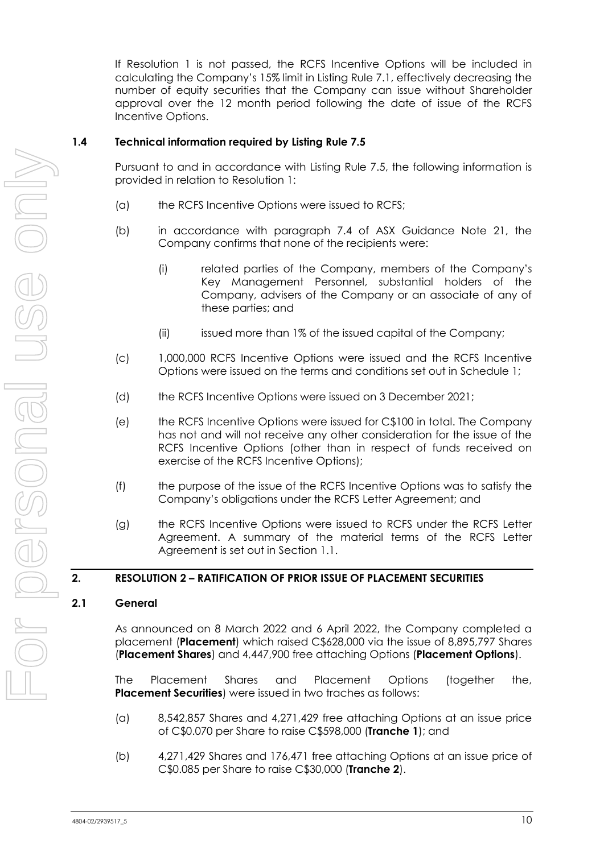If Resolution [1](#page-1-0) is not passed, the RCFS Incentive Options will be included in calculating the Company's 15% limit in Listing Rule 7.1, effectively decreasing the number of equity securities that the Company can issue without Shareholder approval over the 12 month period following the date of issue of the RCFS Incentive Options.

#### **1.4 Technical information required by Listing Rule 7.5**

Pursuant to and in accordance with Listing Rule 7.5, the following information is provided in relation to Resolution [1:](#page-1-0)

- (a) the RCFS Incentive Options were issued to RCFS;
- (b) in accordance with paragraph 7.4 of ASX Guidance Note 21, the Company confirms that none of the recipients were:
	- (i) related parties of the Company, members of the Company's Key Management Personnel, substantial holders of the Company, advisers of the Company or an associate of any of these parties; and
	- (ii) issued more than 1% of the issued capital of the Company;
- (c) 1,000,000 RCFS Incentive Options were issued and the RCFS Incentive Options were issued on the terms and conditions set out in Schedule 1;
- (d) the RCFS Incentive Options were issued on 3 December 2021;
- (e) the RCFS Incentive Options were issued for C\$100 in total. The Company has not and will not receive any other consideration for the issue of the RCFS Incentive Options (other than in respect of funds received on exercise of the RCFS Incentive Options);
- (f) the purpose of the issue of the RCFS Incentive Options was to satisfy the Company's obligations under the RCFS Letter Agreement; and
- (g) the RCFS Incentive Options were issued to RCFS under the RCFS Letter Agreement. A summary of the material terms of the RCFS Letter Agreement is set out in Section [1.1.](#page-9-0)

#### **2. RESOLUTION [2](#page-1-1) – RATIFICATION OF PRIOR ISSUE OF PLACEMENT SECURITIES**

#### <span id="page-10-0"></span>**2.1 General**

As announced on 8 March 2022 and 6 April 2022, the Company completed a placement (**Placement**) which raised C\$628,000 via the issue of 8,895,797 Shares (**Placement Shares**) and 4,447,900 free attaching Options (**Placement Options**).

The Placement Shares and Placement Options (together the, **Placement Securities**) were issued in two traches as follows:

- (a) 8,542,857 Shares and 4,271,429 free attaching Options at an issue price of C\$0.070 per Share to raise C\$598,000 (**Tranche 1**); and
- (b) 4,271,429 Shares and 176,471 free attaching Options at an issue price of C\$0.085 per Share to raise C\$30,000 (**Tranche 2**).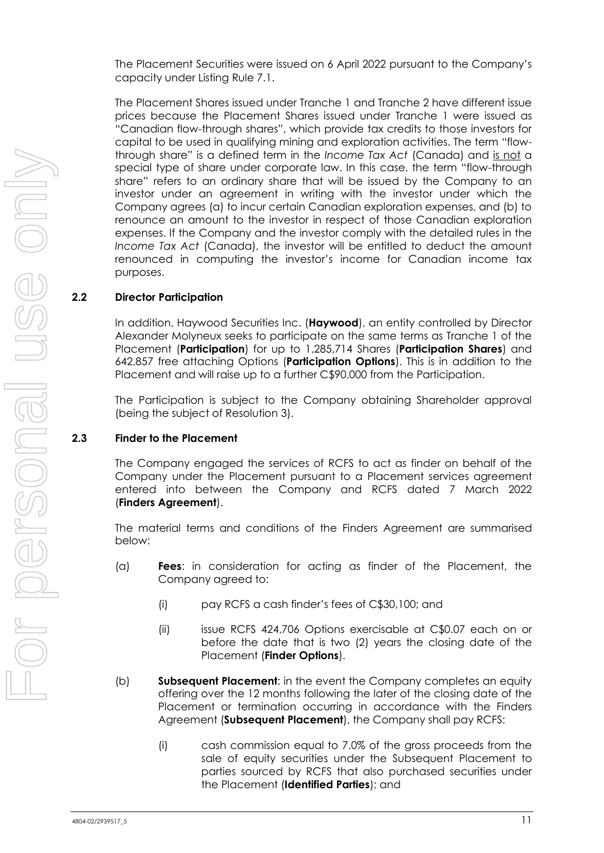The Placement Securities were issued on 6 April 2022 pursuant to the Company's capacity under Listing Rule 7.1.

The Placement Shares issued under Tranche 1 and Tranche 2 have different issue prices because the Placement Shares issued under Tranche 1 were issued as "Canadian flow-through shares", which provide tax credits to those investors for capital to be used in qualifying mining and exploration activities. The term "flowthrough share" is a defined term in the *Income Tax Act* (Canada) and is not a special type of share under corporate law. In this case, the term "flow-through share" refers to an ordinary share that will be issued by the Company to an investor under an agreement in writing with the investor under which the Company agrees (a) to incur certain Canadian exploration expenses, and (b) to renounce an amount to the investor in respect of those Canadian exploration expenses. If the Company and the investor comply with the detailed rules in the *Income Tax Act* (Canada), the investor will be entitled to deduct the amount renounced in computing the investor's income for Canadian income tax purposes.

#### <span id="page-11-0"></span>**2.2 Director Participation**

In addition, Haywood Securities Inc. (**Haywood**), an entity controlled by Director Alexander Molyneux seeks to participate on the same terms as Tranche 1 of the Placement (**Participation**) for up to 1,285,714 Shares (**Participation Shares**) and 642,857 free attaching Options (**Participation Options**). This is in addition to the Placement and will raise up to a further C\$90,000 from the Participation.

The Participation is subject to the Company obtaining Shareholder approval (being the subject of Resolution [3\)](#page-1-2).

#### <span id="page-11-1"></span>**2.3 Finder to the Placement**

The Company engaged the services of RCFS to act as finder on behalf of the Company under the Placement pursuant to a Placement services agreement entered into between the Company and RCFS dated 7 March 2022 (**Finders Agreement**).

The material terms and conditions of the Finders Agreement are summarised below:

- (a) **Fees**: in consideration for acting as finder of the Placement, the Company agreed to:
	- (i) pay RCFS a cash finder's fees of C\$30,100; and
	- (ii) issue RCFS 424,706 Options exercisable at C\$0.07 each on or before the date that is two (2) years the closing date of the Placement (**Finder Options**).
- (b) **Subsequent Placement**: in the event the Company completes an equity offering over the 12 months following the later of the closing date of the Placement or termination occurring in accordance with the Finders Agreement (**Subsequent Placement**), the Company shall pay RCFS:
	- (i) cash commission equal to 7.0% of the gross proceeds from the sale of equity securities under the Subsequent Placement to parties sourced by RCFS that also purchased securities under the Placement (**Identified Parties**); and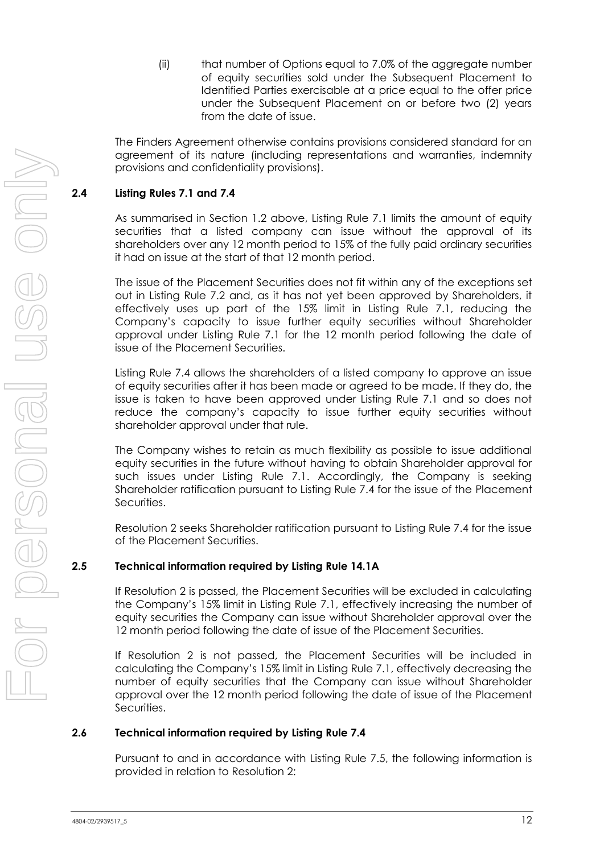(ii) that number of Options equal to 7.0% of the aggregate number of equity securities sold under the Subsequent Placement to Identified Parties exercisable at a price equal to the offer price under the Subsequent Placement on or before two (2) years from the date of issue.

The Finders Agreement otherwise contains provisions considered standard for an agreement of its nature (including representations and warranties, indemnity provisions and confidentiality provisions).

#### **2.4 Listing Rules 7.1 and 7.4**

As summarised in Section [1.2](#page-9-1) above, Listing Rule 7.1 limits the amount of equity securities that a listed company can issue without the approval of its shareholders over any 12 month period to 15% of the fully paid ordinary securities it had on issue at the start of that 12 month period.

The issue of the Placement Securities does not fit within any of the exceptions set out in Listing Rule 7.2 and, as it has not yet been approved by Shareholders, it effectively uses up part of the 15% limit in Listing Rule 7.1, reducing the Company's capacity to issue further equity securities without Shareholder approval under Listing Rule 7.1 for the 12 month period following the date of issue of the Placement Securities.

Listing Rule 7.4 allows the shareholders of a listed company to approve an issue of equity securities after it has been made or agreed to be made. If they do, the issue is taken to have been approved under Listing Rule 7.1 and so does not reduce the company's capacity to issue further equity securities without shareholder approval under that rule.

The Company wishes to retain as much flexibility as possible to issue additional equity securities in the future without having to obtain Shareholder approval for such issues under Listing Rule 7.1. Accordingly, the Company is seeking Shareholder ratification pursuant to Listing Rule 7.4 for the issue of the Placement Securities.

Resolution [2](#page-1-1) seeks Shareholder ratification pursuant to Listing Rule 7.4 for the issue of the Placement Securities.

#### **2.5 Technical information required by Listing Rule 14.1A**

If Resolution [2](#page-1-1) is passed, the Placement Securities will be excluded in calculating the Company's 15% limit in Listing Rule 7.1, effectively increasing the number of equity securities the Company can issue without Shareholder approval over the 12 month period following the date of issue of the Placement Securities.

If Resolution [2](#page-1-1) is not passed, the Placement Securities will be included in calculating the Company's 15% limit in Listing Rule 7.1, effectively decreasing the number of equity securities that the Company can issue without Shareholder approval over the 12 month period following the date of issue of the Placement Securities.

#### <span id="page-12-0"></span>**2.6 Technical information required by Listing Rule 7.4**

Pursuant to and in accordance with Listing Rule 7.5, the following information is provided in relation to Resolution [2:](#page-1-1)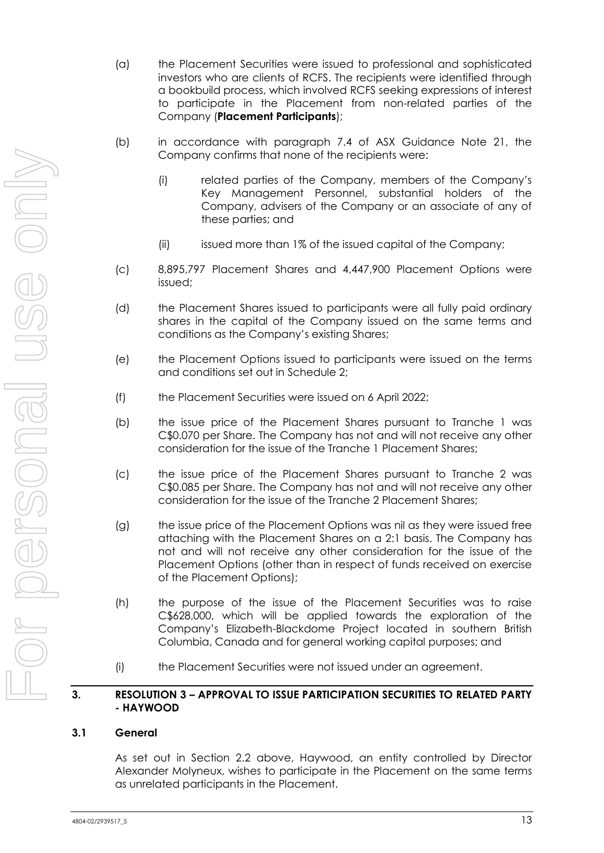- (a) the Placement Securities were issued to professional and sophisticated investors who are clients of RCFS. The recipients were identified through a bookbuild process, which involved RCFS seeking expressions of interest to participate in the Placement from non-related parties of the Company (**Placement Participants**);
- (b) in accordance with paragraph 7.4 of ASX Guidance Note 21, the Company confirms that none of the recipients were:
	- (i) related parties of the Company, members of the Company's Key Management Personnel, substantial holders of the Company, advisers of the Company or an associate of any of these parties; and
	- (ii) issued more than 1% of the issued capital of the Company;
- (c) 8,895,797 Placement Shares and 4,447,900 Placement Options were issued;
- (d) the Placement Shares issued to participants were all fully paid ordinary shares in the capital of the Company issued on the same terms and conditions as the Company's existing Shares;
- (e) the Placement Options issued to participants were issued on the terms and conditions set out in Schedule 2;
- (f) the Placement Securities were issued on 6 April 2022;
- (b) the issue price of the Placement Shares pursuant to Tranche 1 was C\$0.070 per Share. The Company has not and will not receive any other consideration for the issue of the Tranche 1 Placement Shares;
- (c) the issue price of the Placement Shares pursuant to Tranche 2 was C\$0.085 per Share. The Company has not and will not receive any other consideration for the issue of the Tranche 2 Placement Shares;
- (g) the issue price of the Placement Options was nil as they were issued free attaching with the Placement Shares on a 2:1 basis. The Company has not and will not receive any other consideration for the issue of the Placement Options (other than in respect of funds received on exercise of the Placement Options);
- (h) the purpose of the issue of the Placement Securities was to raise C\$628,000, which will be applied towards the exploration of the Company's Elizabeth-Blackdome Project located in southern British Columbia, Canada and for general working capital purposes; and
- (i) the Placement Securities were not issued under an agreement.

#### **3. RESOLUTION [3](#page-1-2) – APPROVAL TO ISSUE PARTICIPATION SECURITIES TO RELATED PARTY - HAYWOOD**

#### <span id="page-13-0"></span>**3.1 General**

As set out in Section [2.2](#page-11-0) above, Haywood, an entity controlled by Director Alexander Molyneux, wishes to participate in the Placement on the same terms as unrelated participants in the Placement.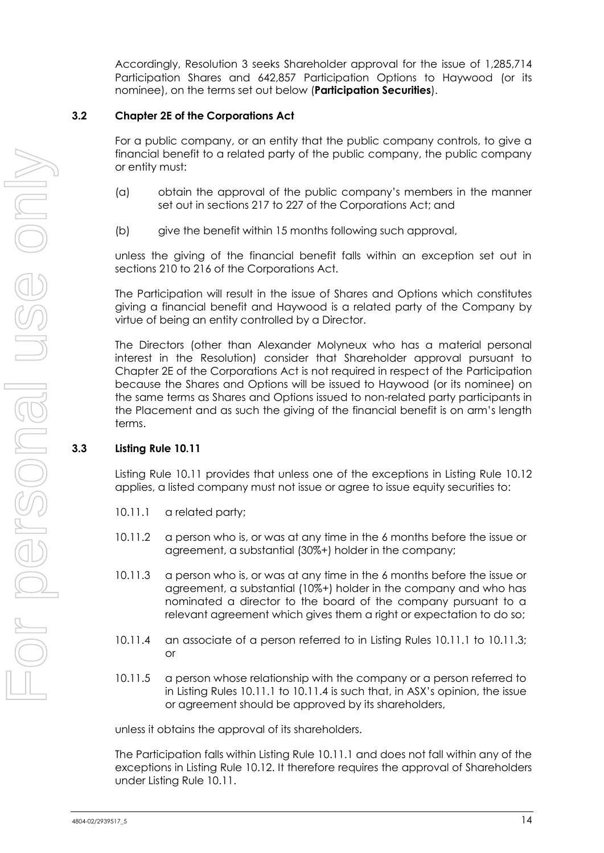Accordingly, Resolution [3](#page-1-2) seeks Shareholder approval for the issue of 1,285,714 Participation Shares and 642,857 Participation Options to Haywood (or its nominee), on the terms set out below (**Participation Securities**).

#### <span id="page-14-0"></span>**3.2 Chapter 2E of the Corporations Act**

For a public company, or an entity that the public company controls, to give a financial benefit to a related party of the public company, the public company or entity must:

- (a) obtain the approval of the public company's members in the manner set out in sections 217 to 227 of the Corporations Act; and
- (b) give the benefit within 15 months following such approval,

unless the giving of the financial benefit falls within an exception set out in sections 210 to 216 of the Corporations Act.

The Participation will result in the issue of Shares and Options which constitutes giving a financial benefit and Haywood is a related party of the Company by virtue of being an entity controlled by a Director.

The Directors (other than Alexander Molyneux who has a material personal interest in the Resolution) consider that Shareholder approval pursuant to Chapter 2E of the Corporations Act is not required in respect of the Participation because the Shares and Options will be issued to Haywood (or its nominee) on the same terms as Shares and Options issued to non-related party participants in the Placement and as such the giving of the financial benefit is on arm's length terms.

#### **3.3 Listing Rule 10.11**

Listing Rule 10.11 provides that unless one of the exceptions in Listing Rule 10.12 applies, a listed company must not issue or agree to issue equity securities to:

- 10.11.1 a related party;
- 10.11.2 a person who is, or was at any time in the 6 months before the issue or agreement, a substantial (30%+) holder in the company;
- 10.11.3 a person who is, or was at any time in the 6 months before the issue or agreement, a substantial (10%+) holder in the company and who has nominated a director to the board of the company pursuant to a relevant agreement which gives them a right or expectation to do so;
- 10.11.4 an associate of a person referred to in Listing Rules 10.11.1 to 10.11.3; or
- 10.11.5 a person whose relationship with the company or a person referred to in Listing Rules 10.11.1 to 10.11.4 is such that, in ASX's opinion, the issue or agreement should be approved by its shareholders,

unless it obtains the approval of its shareholders.

The Participation falls within Listing Rule 10.11.1 and does not fall within any of the exceptions in Listing Rule 10.12. It therefore requires the approval of Shareholders under Listing Rule 10.11.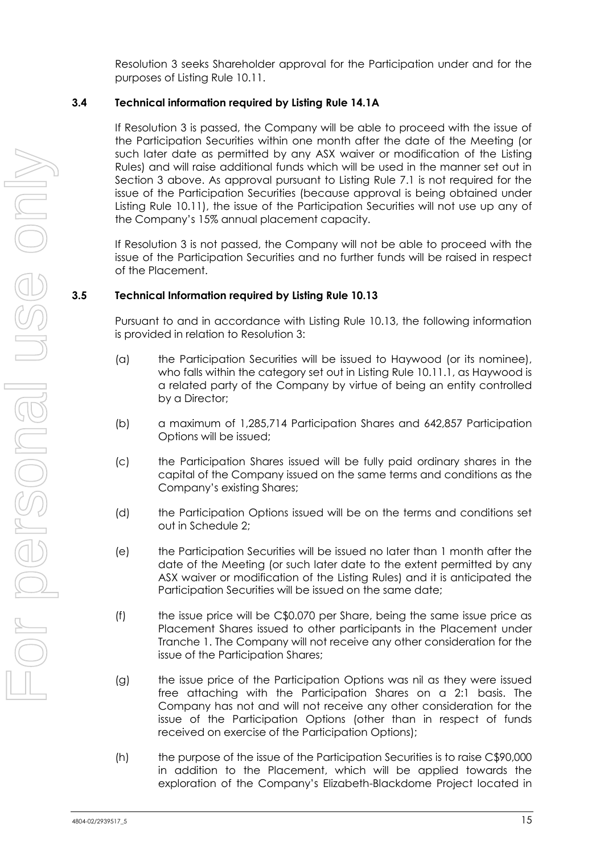Resolution [3](#page-1-2) seeks Shareholder approval for the Participation under and for the purposes of Listing Rule 10.11.

#### **3.4 Technical information required by Listing Rule 14.1A**

If Resolution [3](#page-1-2) is passed, the Company will be able to proceed with the issue of the Participation Securities within one month after the date of the Meeting (or such later date as permitted by any ASX waiver or modification of the Listing Rules) and will raise additional funds which will be used in the manner set out in Section [3](#page-1-2) above. As approval pursuant to Listing Rule 7.1 is not required for the issue of the Participation Securities (because approval is being obtained under Listing Rule 10.11), the issue of the Participation Securities will not use up any of the Company's 15% annual placement capacity.

If Resolution [3](#page-1-2) is not passed, the Company will not be able to proceed with the issue of the Participation Securities and no further funds will be raised in respect of the Placement.

#### **3.5 Technical Information required by Listing Rule 10.13**

Pursuant to and in accordance with Listing Rule 10.13, the following information is provided in relation to Resolution [3:](#page-1-2)

- (a) the Participation Securities will be issued to Haywood (or its nominee), who falls within the category set out in Listing Rule 10.11.1, as Haywood is a related party of the Company by virtue of being an entity controlled by a Director;
- (b) a maximum of 1,285,714 Participation Shares and 642,857 Participation Options will be issued;
- (c) the Participation Shares issued will be fully paid ordinary shares in the capital of the Company issued on the same terms and conditions as the Company's existing Shares;
- (d) the Participation Options issued will be on the terms and conditions set out in Schedule 2;
- (e) the Participation Securities will be issued no later than 1 month after the date of the Meeting (or such later date to the extent permitted by any ASX waiver or modification of the Listing Rules) and it is anticipated the Participation Securities will be issued on the same date;
- (f) the issue price will be C\$0.070 per Share, being the same issue price as Placement Shares issued to other participants in the Placement under Tranche 1. The Company will not receive any other consideration for the issue of the Participation Shares;
- (g) the issue price of the Participation Options was nil as they were issued free attaching with the Participation Shares on a 2:1 basis. The Company has not and will not receive any other consideration for the issue of the Participation Options (other than in respect of funds received on exercise of the Participation Options);
- (h) the purpose of the issue of the Participation Securities is to raise C\$90,000 in addition to the Placement, which will be applied towards the exploration of the Company's Elizabeth-Blackdome Project located in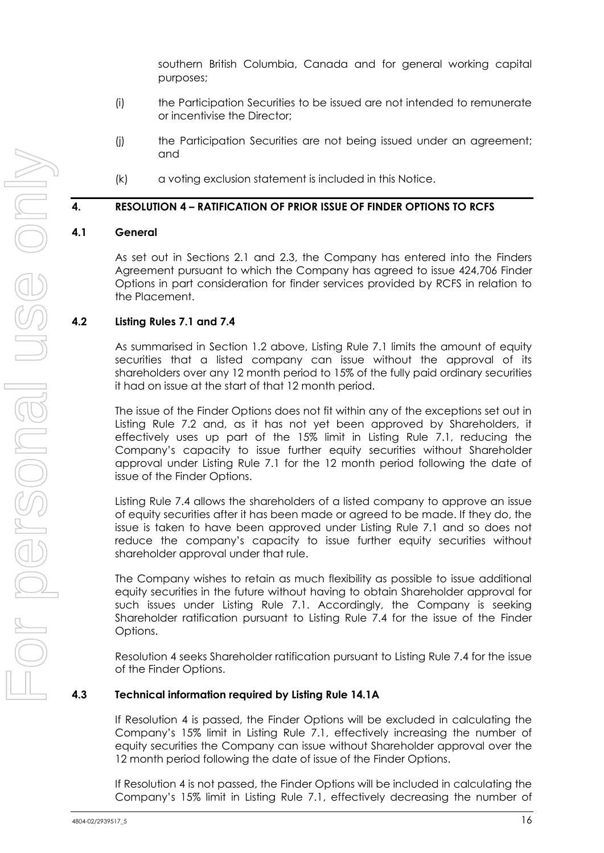southern British Columbia, Canada and for general working capital purposes;

- (i) the Participation Securities to be issued are not intended to remunerate or incentivise the Director;
- (j) the Participation Securities are not being issued under an agreement; and
- (k) a voting exclusion statement is included in this Notice.

#### **4. RESOLUTION [4](#page-1-3) – RATIFICATION OF PRIOR ISSUE OF FINDER OPTIONS TO RCFS**

#### **4.1 General**

As set out in Sections [2.1](#page-10-0) and [2.3,](#page-11-1) the Company has entered into the Finders Agreement pursuant to which the Company has agreed to issue 424,706 Finder Options in part consideration for finder services provided by RCFS in relation to the Placement.

#### **4.2 Listing Rules 7.1 and 7.4**

As summarised in Section [1.2](#page-9-1) above, Listing Rule 7.1 limits the amount of equity securities that a listed company can issue without the approval of its shareholders over any 12 month period to 15% of the fully paid ordinary securities it had on issue at the start of that 12 month period.

The issue of the Finder Options does not fit within any of the exceptions set out in Listing Rule 7.2 and, as it has not yet been approved by Shareholders, it effectively uses up part of the 15% limit in Listing Rule 7.1, reducing the Company's capacity to issue further equity securities without Shareholder approval under Listing Rule 7.1 for the 12 month period following the date of issue of the Finder Options.

Listing Rule 7.4 allows the shareholders of a listed company to approve an issue of equity securities after it has been made or agreed to be made. If they do, the issue is taken to have been approved under Listing Rule 7.1 and so does not reduce the company's capacity to issue further equity securities without shareholder approval under that rule.

The Company wishes to retain as much flexibility as possible to issue additional equity securities in the future without having to obtain Shareholder approval for such issues under Listing Rule 7.1. Accordingly, the Company is seeking Shareholder ratification pursuant to Listing Rule 7.4 for the issue of the Finder Options.

Resolution [4](#page-1-3) seeks Shareholder ratification pursuant to Listing Rule 7.4 for the issue of the Finder Options.

#### **4.3 Technical information required by Listing Rule 14.1A**

If Resolution [4](#page-1-3) is passed, the Finder Options will be excluded in calculating the Company's 15% limit in Listing Rule 7.1, effectively increasing the number of equity securities the Company can issue without Shareholder approval over the 12 month period following the date of issue of the Finder Options.

If Resolution [4](#page-1-3) is not passed, the Finder Options will be included in calculating the Company's 15% limit in Listing Rule 7.1, effectively decreasing the number of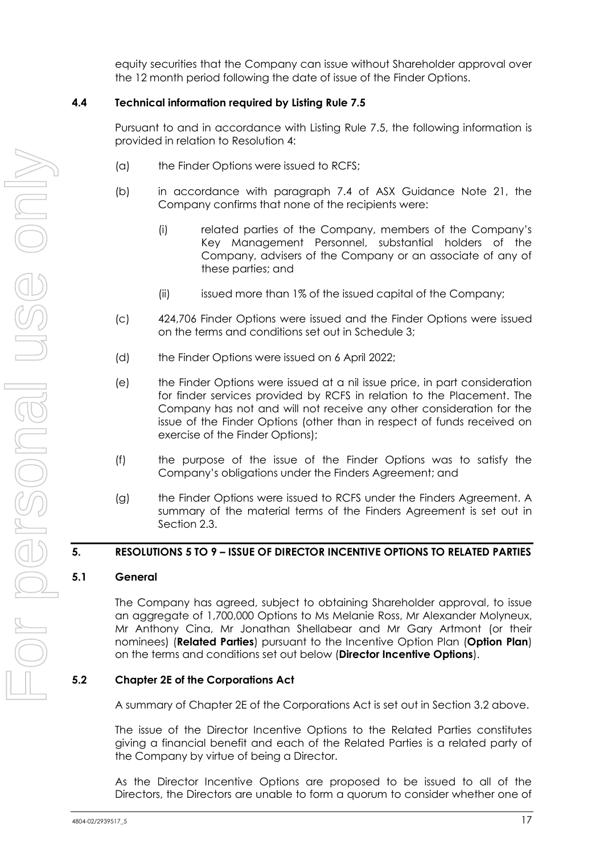equity securities that the Company can issue without Shareholder approval over the 12 month period following the date of issue of the Finder Options.

#### **4.4 Technical information required by Listing Rule 7.5**

Pursuant to and in accordance with Listing Rule 7.5, the following information is provided in relation to Resolution [4:](#page-1-3)

- (a) the Finder Options were issued to RCFS;
- (b) in accordance with paragraph 7.4 of ASX Guidance Note 21, the Company confirms that none of the recipients were:
	- (i) related parties of the Company, members of the Company's Key Management Personnel, substantial holders of the Company, advisers of the Company or an associate of any of these parties; and
	- (ii) issued more than 1% of the issued capital of the Company;
- (c) 424,706 Finder Options were issued and the Finder Options were issued on the terms and conditions set out in Schedule 3;
- (d) the Finder Options were issued on 6 April 2022;
- (e) the Finder Options were issued at a nil issue price, in part consideration for finder services provided by RCFS in relation to the Placement. The Company has not and will not receive any other consideration for the issue of the Finder Options (other than in respect of funds received on exercise of the Finder Options);
- (f) the purpose of the issue of the Finder Options was to satisfy the Company's obligations under the Finders Agreement; and
- (g) the Finder Options were issued to RCFS under the Finders Agreement. A summary of the material terms of the Finders Agreement is set out in Section [2.3.](#page-11-1)

#### **5. RESOLUTIONS [5](#page-2-0) TO [9](#page-3-0) – ISSUE OF DIRECTOR INCENTIVE OPTIONS TO RELATED PARTIES**

#### <span id="page-17-0"></span>**5.1 General**

The Company has agreed, subject to obtaining Shareholder approval, to issue an aggregate of 1,700,000 Options to Ms Melanie Ross, Mr Alexander Molyneux, Mr Anthony Cina, Mr Jonathan Shellabear and Mr Gary Artmont (or their nominees) (**Related Parties**) pursuant to the Incentive Option Plan (**Option Plan**) on the terms and conditions set out below (**Director Incentive Options**).

#### **5.2 Chapter 2E of the Corporations Act**

A summary of Chapter 2E of the Corporations Act is set out in Section [3.2](#page-14-0) above.

The issue of the Director Incentive Options to the Related Parties constitutes giving a financial benefit and each of the Related Parties is a related party of the Company by virtue of being a Director.

As the Director Incentive Options are proposed to be issued to all of the Directors, the Directors are unable to form a quorum to consider whether one of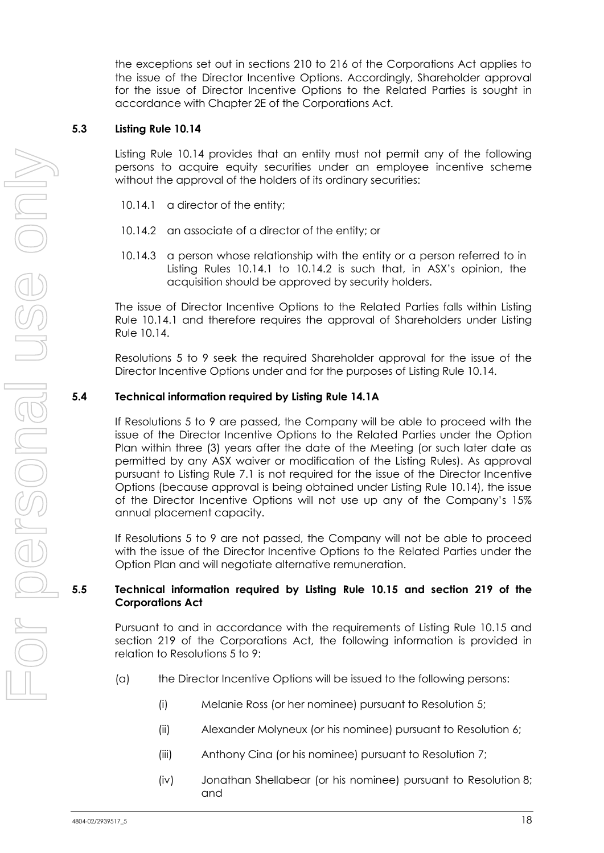the exceptions set out in sections 210 to 216 of the Corporations Act applies to the issue of the Director Incentive Options. Accordingly, Shareholder approval for the issue of Director Incentive Options to the Related Parties is sought in accordance with Chapter 2E of the Corporations Act.

#### **5.3 Listing Rule 10.14**

Listing Rule 10.14 provides that an entity must not permit any of the following persons to acquire equity securities under an employee incentive scheme without the approval of the holders of its ordinary securities:

- 10.14.1 a director of the entity;
- 10.14.2 an associate of a director of the entity; or
- 10.14.3 a person whose relationship with the entity or a person referred to in Listing Rules 10.14.1 to 10.14.2 is such that, in ASX's opinion, the acquisition should be approved by security holders.

The issue of Director Incentive Options to the Related Parties falls within Listing Rule 10.14.1 and therefore requires the approval of Shareholders under Listing Rule 10.14.

Resolutions [5](#page-2-0) to [9](#page-3-0) seek the required Shareholder approval for the issue of the Director Incentive Options under and for the purposes of Listing Rule 10.14.

#### **5.4 Technical information required by Listing Rule 14.1A**

If Resolutions [5](#page-2-0) to [9](#page-3-0) are passed, the Company will be able to proceed with the issue of the Director Incentive Options to the Related Parties under the Option Plan within three (3) years after the date of the Meeting (or such later date as permitted by any ASX waiver or modification of the Listing Rules). As approval pursuant to Listing Rule 7.1 is not required for the issue of the Director Incentive Options (because approval is being obtained under Listing Rule 10.14), the issue of the Director Incentive Options will not use up any of the Company's 15% annual placement capacity.

If Resolutions [5](#page-2-0) to [9](#page-3-0) are not passed, the Company will not be able to proceed with the issue of the Director Incentive Options to the Related Parties under the Option Plan and will negotiate alternative remuneration.

#### **5.5 Technical information required by Listing Rule 10.15 and section 219 of the Corporations Act**

Pursuant to and in accordance with the requirements of Listing Rule 10.15 and section 219 of the Corporations Act, the following information is provided in relation to Resolutions [5](#page-2-0) to [9:](#page-3-0)

- (a) the Director Incentive Options will be issued to the following persons:
	- (i) Melanie Ross (or her nominee) pursuant to Resolution [5;](#page-2-0)
	- (ii) Alexander Molyneux (or his nominee) pursuant to Resolution [6;](#page-2-1)
	- (iii) Anthony Cina (or his nominee) pursuant to Resolution [7;](#page-2-2)
	- (iv) Jonathan Shellabear (or his nominee) pursuant to Resolution [8;](#page-2-3) and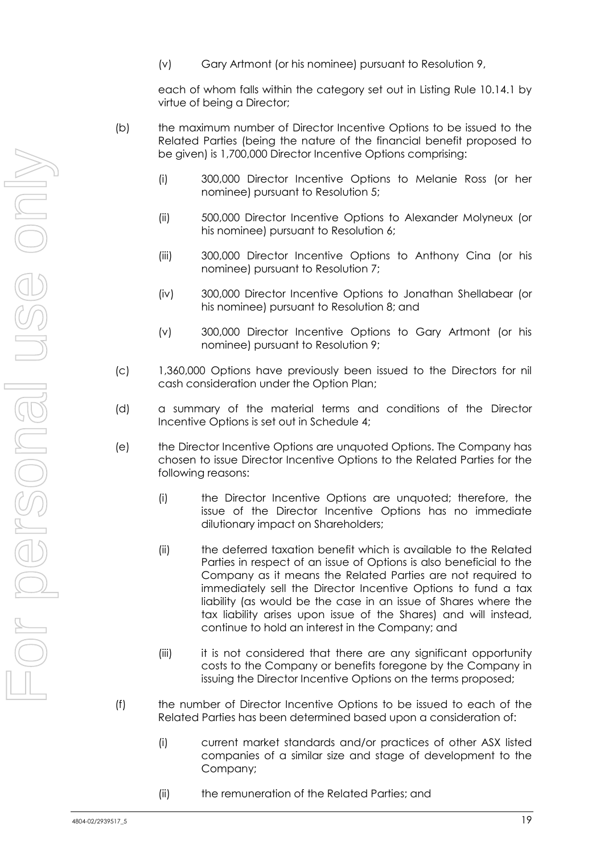(v) Gary Artmont (or his nominee) pursuant to Resolution [9,](#page-3-0)

each of whom falls within the category set out in Listing Rule 10.14.1 by virtue of being a Director;

- (b) the maximum number of Director Incentive Options to be issued to the Related Parties (being the nature of the financial benefit proposed to be given) is 1,700,000 Director Incentive Options comprising:
	- (i) 300,000 Director Incentive Options to Melanie Ross (or her nominee) pursuant to Resolution [5;](#page-2-0)
	- (ii) 500,000 Director Incentive Options to Alexander Molyneux (or his nominee) pursuant to Resolution [6;](#page-2-1)
	- (iii) 300,000 Director Incentive Options to Anthony Cina (or his nominee) pursuant to Resolution [7;](#page-2-2)
	- (iv) 300,000 Director Incentive Options to Jonathan Shellabear (or his nominee) pursuant to Resolution [8;](#page-2-3) and
	- (v) 300,000 Director Incentive Options to Gary Artmont (or his nominee) pursuant to Resolution [9;](#page-3-0)
- (c) 1,360,000 Options have previously been issued to the Directors for nil cash consideration under the Option Plan;
- (d) a summary of the material terms and conditions of the Director Incentive Options is set out in Schedule 4;
- (e) the Director Incentive Options are unquoted Options. The Company has chosen to issue Director Incentive Options to the Related Parties for the following reasons:
	- (i) the Director Incentive Options are unquoted; therefore, the issue of the Director Incentive Options has no immediate dilutionary impact on Shareholders;
	- (ii) the deferred taxation benefit which is available to the Related Parties in respect of an issue of Options is also beneficial to the Company as it means the Related Parties are not required to immediately sell the Director Incentive Options to fund a tax liability (as would be the case in an issue of Shares where the tax liability arises upon issue of the Shares) and will instead, continue to hold an interest in the Company; and
	- (iii) it is not considered that there are any significant opportunity costs to the Company or benefits foregone by the Company in issuing the Director Incentive Options on the terms proposed;
- (f) the number of Director Incentive Options to be issued to each of the Related Parties has been determined based upon a consideration of:
	- (i) current market standards and/or practices of other ASX listed companies of a similar size and stage of development to the Company;
	- (ii) the remuneration of the Related Parties; and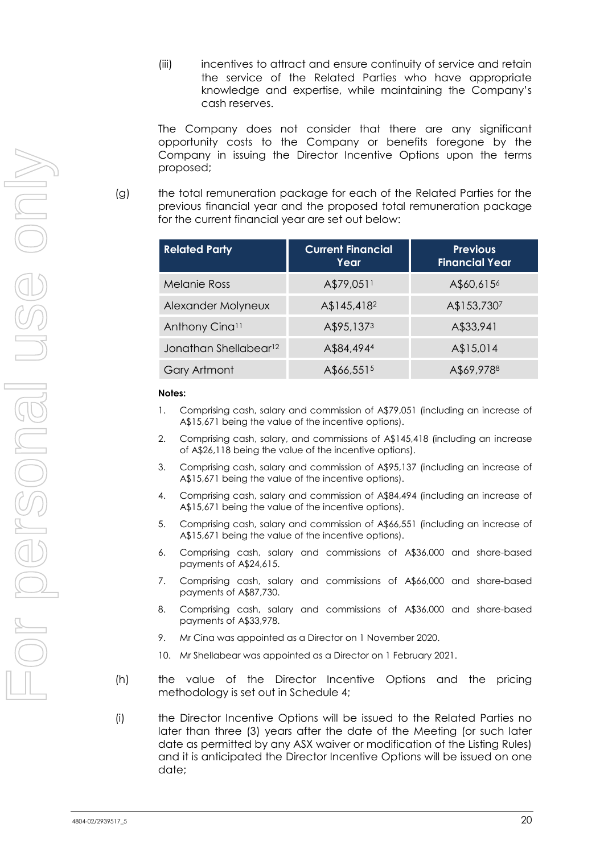(iii) incentives to attract and ensure continuity of service and retain the service of the Related Parties who have appropriate knowledge and expertise, while maintaining the Company's cash reserves.

The Company does not consider that there are any significant opportunity costs to the Company or benefits foregone by the Company in issuing the Director Incentive Options upon the terms proposed;

(g) the total remuneration package for each of the Related Parties for the previous financial year and the proposed total remuneration package for the current financial year are set out below:

| <b>Related Party</b>              | <b>Current Financial</b><br>Year | <b>Previous</b><br><b>Financial Year</b> |  |  |
|-----------------------------------|----------------------------------|------------------------------------------|--|--|
| <b>Melanie Ross</b>               | A\$79,0511                       | A\$60,615 <sup>6</sup>                   |  |  |
| Alexander Molyneux                | A\$145,418 <sup>2</sup>          | A\$153,7307                              |  |  |
| Anthony Cinall                    | A\$95,1373                       | A\$33,941                                |  |  |
| Jonathan Shellabear <sup>12</sup> | A\$84,4944                       | A\$15,014                                |  |  |
| Gary Artmont                      | A\$66,5515                       | A\$69,9788                               |  |  |

#### **Notes:**

- 1. Comprising cash, salary and commission of A\$79,051 (including an increase of A\$15,671 being the value of the incentive options).
- 2. Comprising cash, salary, and commissions of A\$145,418 (including an increase of A\$26,118 being the value of the incentive options).
- 3. Comprising cash, salary and commission of A\$95,137 (including an increase of A\$15,671 being the value of the incentive options).
- 4. Comprising cash, salary and commission of A\$84,494 (including an increase of A\$15,671 being the value of the incentive options).
- 5. Comprising cash, salary and commission of A\$66,551 (including an increase of A\$15,671 being the value of the incentive options).
- 6. Comprising cash, salary and commissions of A\$36,000 and share-based payments of A\$24,615.
- 7. Comprising cash, salary and commissions of A\$66,000 and share-based payments of A\$87,730.
- 8. Comprising cash, salary and commissions of A\$36,000 and share-based payments of A\$33,978.
- 9. Mr Cina was appointed as a Director on 1 November 2020.
- 10. Mr Shellabear was appointed as a Director on 1 February 2021.
- (h) the value of the Director Incentive Options and the pricing methodology is set out in Schedule 4;
- (i) the Director Incentive Options will be issued to the Related Parties no later than three (3) years after the date of the Meeting (or such later date as permitted by any ASX waiver or modification of the Listing Rules) and it is anticipated the Director Incentive Options will be issued on one date;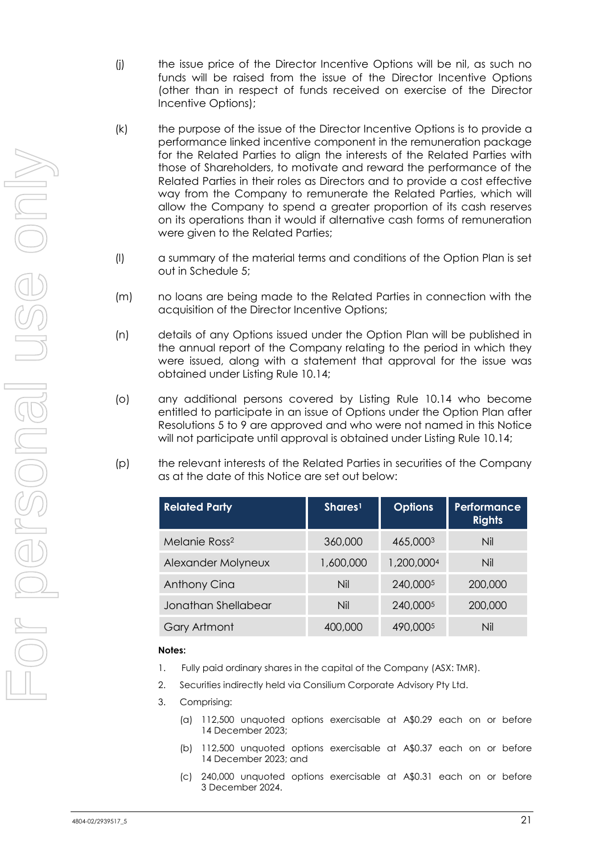- (j) the issue price of the Director Incentive Options will be nil, as such no funds will be raised from the issue of the Director Incentive Options (other than in respect of funds received on exercise of the Director Incentive Options);
- (k) the purpose of the issue of the Director Incentive Options is to provide a performance linked incentive component in the remuneration package for the Related Parties to align the interests of the Related Parties with those of Shareholders, to motivate and reward the performance of the Related Parties in their roles as Directors and to provide a cost effective way from the Company to remunerate the Related Parties, which will allow the Company to spend a greater proportion of its cash reserves on its operations than it would if alternative cash forms of remuneration were given to the Related Parties;
- (l) a summary of the material terms and conditions of the Option Plan is set out in Schedule 5;
- (m) no loans are being made to the Related Parties in connection with the acquisition of the Director Incentive Options;
- (n) details of any Options issued under the Option Plan will be published in the annual report of the Company relating to the period in which they were issued, along with a statement that approval for the issue was obtained under Listing Rule 10.14;
- (o) any additional persons covered by Listing Rule 10.14 who become entitled to participate in an issue of Options under the Option Plan after Resolutions [5](#page-2-0) to [9](#page-3-0) are approved and who were not named in this Notice will not participate until approval is obtained under Listing Rule 10.14;
- (p) the relevant interests of the Related Parties in securities of the Company as at the date of this Notice are set out below:

| <b>Related Party</b>      | Shares <sup>1</sup> | <b>Options</b> | <b>Performance</b><br><b>Rights</b> |
|---------------------------|---------------------|----------------|-------------------------------------|
| Melanie Ross <sup>2</sup> | 360,000             | 465,0003       | Nil                                 |
| Alexander Molyneux        | 1,600,000           | 1,200,0004     | Nil                                 |
| Anthony Cina              | Nil                 | 240,0005       | 200,000                             |
| Jonathan Shellabear       | Nil                 | 240,0005       | 200,000                             |
| Gary Artmont              | 400,000             | 490,0005       | Nil                                 |

#### **Notes:**

- 1. Fully paid ordinary shares in the capital of the Company (ASX: TMR).
- 2. Securities indirectly held via Consilium Corporate Advisory Pty Ltd.
- 3. Comprising:
	- (a) 112,500 unquoted options exercisable at A\$0.29 each on or before 14 December 2023;
	- (b) 112,500 unquoted options exercisable at A\$0.37 each on or before 14 December 2023; and
	- (c) 240,000 unquoted options exercisable at A\$0.31 each on or before 3 December 2024.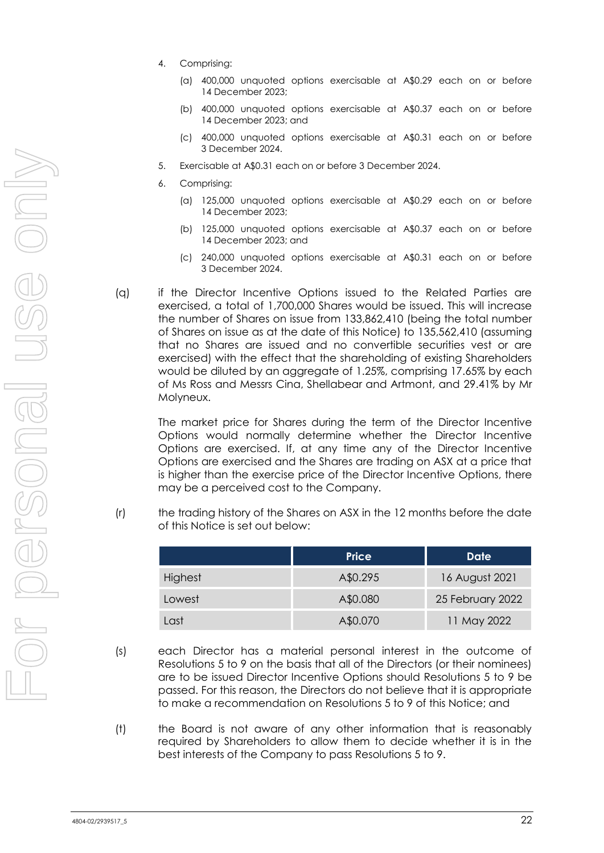- 4. Comprising:
	- (a) 400,000 unquoted options exercisable at A\$0.29 each on or before 14 December 2023;
	- (b) 400,000 unquoted options exercisable at A\$0.37 each on or before 14 December 2023; and
	- (c) 400,000 unquoted options exercisable at A\$0.31 each on or before 3 December 2024.
	- 5. Exercisable at A\$0.31 each on or before 3 December 2024.
	- 6. Comprising:
		- (a) 125,000 unquoted options exercisable at A\$0.29 each on or before 14 December 2023;
		- (b) 125,000 unquoted options exercisable at A\$0.37 each on or before 14 December 2023; and
		- (c) 240,000 unquoted options exercisable at A\$0.31 each on or before 3 December 2024.
- (q) if the Director Incentive Options issued to the Related Parties are exercised, a total of 1,700,000 Shares would be issued. This will increase the number of Shares on issue from 133,862,410 (being the total number of Shares on issue as at the date of this Notice) to 135,562,410 (assuming that no Shares are issued and no convertible securities vest or are exercised) with the effect that the shareholding of existing Shareholders would be diluted by an aggregate of 1.25%, comprising 17.65% by each of Ms Ross and Messrs Cina, Shellabear and Artmont, and 29.41% by Mr Molyneux.

The market price for Shares during the term of the Director Incentive Options would normally determine whether the Director Incentive Options are exercised. If, at any time any of the Director Incentive Options are exercised and the Shares are trading on ASX at a price that is higher than the exercise price of the Director Incentive Options, there may be a perceived cost to the Company.

(r) the trading history of the Shares on ASX in the 12 months before the date of this Notice is set out below:

|                | <b>Price</b> | Date             |
|----------------|--------------|------------------|
| <b>Highest</b> | A\$0.295     | 16 August 2021   |
| Lowest         | A\$0.080     | 25 February 2022 |
| Last           | A\$0.070     | 11 May 2022      |

- (s) each Director has a material personal interest in the outcome of Resolutions [5](#page-2-0) to [9](#page-3-0) on the basis that all of the Directors (or their nominees) are to be issued Director Incentive Options should Resolutions [5](#page-2-0) to [9](#page-3-0) be passed. For this reason, the Directors do not believe that it is appropriate to make a recommendation on Resolutions [5](#page-2-0) to [9](#page-3-0) of this Notice; and
- (t) the Board is not aware of any other information that is reasonably required by Shareholders to allow them to decide whether it is in the best interests of the Company to pass Resolutions [5](#page-2-0) to [9.](#page-3-0)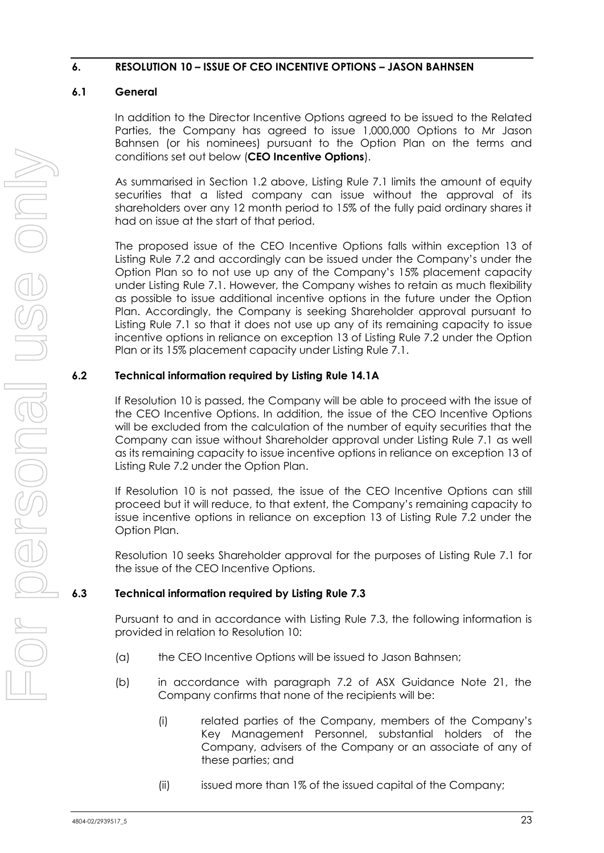#### <span id="page-23-0"></span>**6. RESOLUTION [10](#page-3-1) – ISSUE OF CEO INCENTIVE OPTIONS – JASON BAHNSEN**

#### <span id="page-23-1"></span>**6.1 General**

In addition to the Director Incentive Options agreed to be issued to the Related Parties, the Company has agreed to issue 1,000,000 Options to Mr Jason Bahnsen (or his nominees) pursuant to the Option Plan on the terms and conditions set out below (**CEO Incentive Options**).

As summarised in Section [1.2](#page-9-1) above, Listing Rule 7.1 limits the amount of equity securities that a listed company can issue without the approval of its shareholders over any 12 month period to 15% of the fully paid ordinary shares it had on issue at the start of that period.

The proposed issue of the CEO Incentive Options falls within exception 13 of Listing Rule 7.2 and accordingly can be issued under the Company's under the Option Plan so to not use up any of the Company's 15% placement capacity under Listing Rule 7.1. However, the Company wishes to retain as much flexibility as possible to issue additional incentive options in the future under the Option Plan. Accordingly, the Company is seeking Shareholder approval pursuant to Listing Rule 7.1 so that it does not use up any of its remaining capacity to issue incentive options in reliance on exception 13 of Listing Rule 7.2 under the Option Plan or its 15% placement capacity under Listing Rule 7.1.

#### **6.2 Technical information required by Listing Rule 14.1A**

If Resolution [10](#page-3-1) is passed, the Company will be able to proceed with the issue of the CEO Incentive Options. In addition, the issue of the CEO Incentive Options will be excluded from the calculation of the number of equity securities that the Company can issue without Shareholder approval under Listing Rule 7.1 as well as its remaining capacity to issue incentive options in reliance on exception 13 of Listing Rule 7.2 under the Option Plan.

If Resolution [10](#page-3-1) is not passed, the issue of the CEO Incentive Options can still proceed but it will reduce, to that extent, the Company's remaining capacity to issue incentive options in reliance on exception 13 of Listing Rule 7.2 under the Option Plan.

Resolution [10](#page-3-1) seeks Shareholder approval for the purposes of Listing Rule 7.1 for the issue of the CEO Incentive Options.

#### **6.3 Technical information required by Listing Rule 7.3**

Pursuant to and in accordance with Listing Rule 7.3, the following information is provided in relation to Resolution [10:](#page-3-1)

- (a) the CEO Incentive Options will be issued to Jason Bahnsen;
- (b) in accordance with paragraph 7.2 of ASX Guidance Note 21, the Company confirms that none of the recipients will be:
	- (i) related parties of the Company, members of the Company's Key Management Personnel, substantial holders of the Company, advisers of the Company or an associate of any of these parties; and
	- (ii) issued more than 1% of the issued capital of the Company;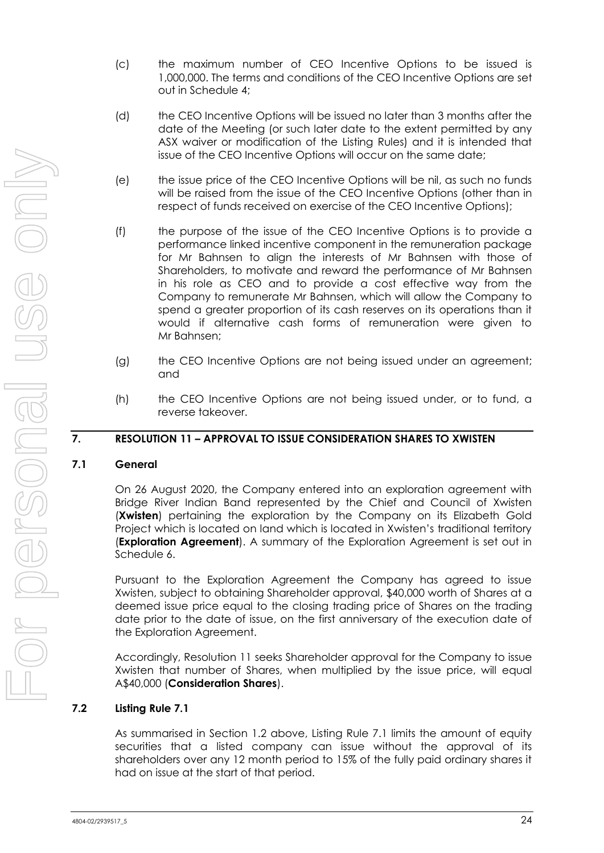- (c) the maximum number of CEO Incentive Options to be issued is 1,000,000. The terms and conditions of the CEO Incentive Options are set out in Schedule 4;
- (d) the CEO Incentive Options will be issued no later than 3 months after the date of the Meeting (or such later date to the extent permitted by any ASX waiver or modification of the Listing Rules) and it is intended that issue of the CEO Incentive Options will occur on the same date;
- (e) the issue price of the CEO Incentive Options will be nil, as such no funds will be raised from the issue of the CEO Incentive Options (other than in respect of funds received on exercise of the CEO Incentive Options);
- (f) the purpose of the issue of the CEO Incentive Options is to provide a performance linked incentive component in the remuneration package for Mr Bahnsen to align the interests of Mr Bahnsen with those of Shareholders, to motivate and reward the performance of Mr Bahnsen in his role as CEO and to provide a cost effective way from the Company to remunerate Mr Bahnsen, which will allow the Company to spend a greater proportion of its cash reserves on its operations than it would if alternative cash forms of remuneration were given to Mr Bahnsen;
- (g) the CEO Incentive Options are not being issued under an agreement; and
- (h) the CEO Incentive Options are not being issued under, or to fund, a reverse takeover.

#### **7. RESOLUTION [11](#page-3-2) – APPROVAL TO ISSUE CONSIDERATION SHARES TO XWISTEN**

#### <span id="page-24-0"></span>**7.1 General**

On 26 August 2020, the Company entered into an exploration agreement with Bridge River Indian Band represented by the Chief and Council of Xwisten (**Xwisten**) pertaining the exploration by the Company on its Elizabeth Gold Project which is located on land which is located in Xwisten's traditional territory (**Exploration Agreement**). A summary of the Exploration Agreement is set out in Schedule 6.

Pursuant to the Exploration Agreement the Company has agreed to issue Xwisten, subject to obtaining Shareholder approval, \$40,000 worth of Shares at a deemed issue price equal to the closing trading price of Shares on the trading date prior to the date of issue, on the first anniversary of the execution date of the Exploration Agreement.

Accordingly, Resolution [11](#page-3-2) seeks Shareholder approval for the Company to issue Xwisten that number of Shares, when multiplied by the issue price, will equal A\$40,000 (**Consideration Shares**).

#### **7.2 Listing Rule 7.1**

As summarised in Section [1.2](#page-9-1) above, Listing Rule 7.1 limits the amount of equity securities that a listed company can issue without the approval of its shareholders over any 12 month period to 15% of the fully paid ordinary shares it had on issue at the start of that period.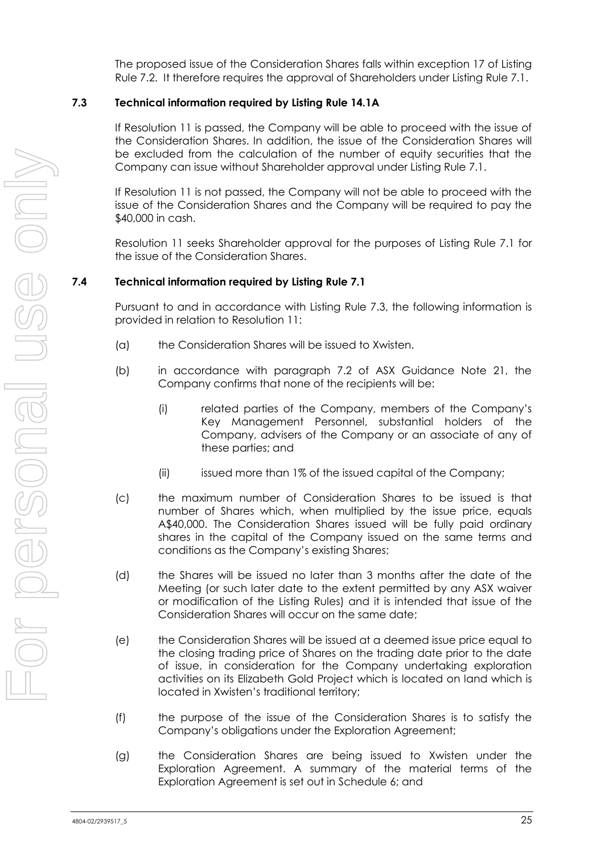The proposed issue of the Consideration Shares falls within exception 17 of Listing Rule 7.2. It therefore requires the approval of Shareholders under Listing Rule 7.1.

#### **7.3 Technical information required by Listing Rule 14.1A**

If Resolution [11](#page-3-2) is passed, the Company will be able to proceed with the issue of the Consideration Shares. In addition, the issue of the Consideration Shares will be excluded from the calculation of the number of equity securities that the Company can issue without Shareholder approval under Listing Rule 7.1.

If Resolution [11](#page-3-2) is not passed, the Company will not be able to proceed with the issue of the Consideration Shares and the Company will be required to pay the \$40,000 in cash.

Resolution [11](#page-3-2) seeks Shareholder approval for the purposes of Listing Rule 7.1 for the issue of the Consideration Shares.

#### **7.4 Technical information required by Listing Rule 7.1**

Pursuant to and in accordance with Listing Rule 7.3, the following information is provided in relation to Resolution [11:](#page-3-2)

- (a) the Consideration Shares will be issued to Xwisten.
- (b) in accordance with paragraph 7.2 of ASX Guidance Note 21, the Company confirms that none of the recipients will be:
	- (i) related parties of the Company, members of the Company's Key Management Personnel, substantial holders of the Company, advisers of the Company or an associate of any of these parties; and
	- (ii) issued more than 1% of the issued capital of the Company;
- (c) the maximum number of Consideration Shares to be issued is that number of Shares which, when multiplied by the issue price, equals A\$40,000. The Consideration Shares issued will be fully paid ordinary shares in the capital of the Company issued on the same terms and conditions as the Company's existing Shares;
- (d) the Shares will be issued no later than 3 months after the date of the Meeting (or such later date to the extent permitted by any ASX waiver or modification of the Listing Rules) and it is intended that issue of the Consideration Shares will occur on the same date;
- (e) the Consideration Shares will be issued at a deemed issue price equal to the closing trading price of Shares on the trading date prior to the date of issue, in consideration for the Company undertaking exploration activities on its Elizabeth Gold Project which is located on land which is located in Xwisten's traditional territory;
- (f) the purpose of the issue of the Consideration Shares is to satisfy the Company's obligations under the Exploration Agreement;
- (g) the Consideration Shares are being issued to Xwisten under the Exploration Agreement. A summary of the material terms of the Exploration Agreement is set out in Schedule 6; and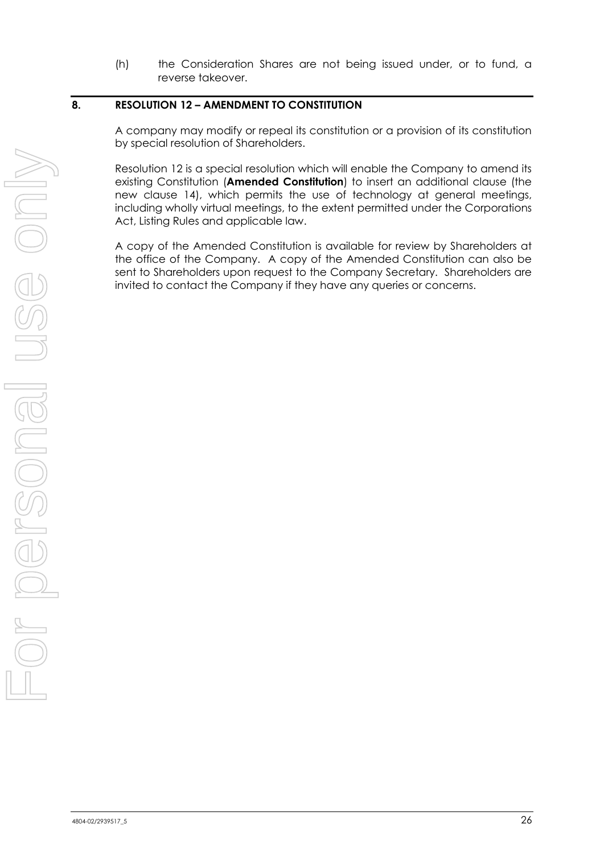(h) the Consideration Shares are not being issued under, or to fund, a reverse takeover.

#### **8. RESOLUTION [12](#page-3-3) – AMENDMENT TO CONSTITUTION**

A company may modify or repeal its constitution or a provision of its constitution by special resolution of Shareholders.

Resolution [12](#page-3-3) is a special resolution which will enable the Company to amend its existing Constitution (**Amended Constitution**) to insert an additional clause (the new clause 14), which permits the use of technology at general meetings, including wholly virtual meetings, to the extent permitted under the Corporations Act, Listing Rules and applicable law.

A copy of the Amended Constitution is available for review by Shareholders at the office of the Company. A copy of the Amended Constitution can also be sent to Shareholders upon request to the Company Secretary. Shareholders are invited to contact the Company if they have any queries or concerns.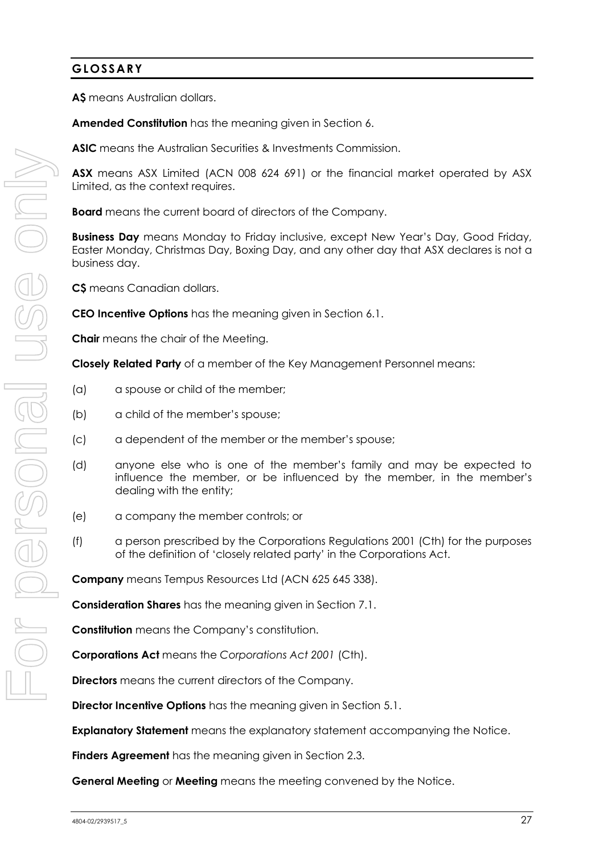#### **GLOSSARY**

**A\$** means Australian dollars.

**Amended Constitution** has the meaning given in Section [6.](#page-23-0)

**ASIC** means the Australian Securities & Investments Commission.

**ASX** means ASX Limited (ACN 008 624 691) or the financial market operated by ASX Limited, as the context requires.

**Board** means the current board of directors of the Company.

**Business Day** means Monday to Friday inclusive, except New Year's Day, Good Friday, Easter Monday, Christmas Day, Boxing Day, and any other day that ASX declares is not a business day.

**C\$** means Canadian dollars.

**CEO Incentive Options** has the meaning given in Section [6.1.](#page-23-1)

**Chair** means the chair of the Meeting.

**Closely Related Party** of a member of the Key Management Personnel means:

- (a) a spouse or child of the member;
- (b) a child of the member's spouse;
- (c) a dependent of the member or the member's spouse;
- (d) anyone else who is one of the member's family and may be expected to influence the member, or be influenced by the member, in the member's dealing with the entity;
- (e) a company the member controls; or
- (f) a person prescribed by the Corporations Regulations 2001 (Cth) for the purposes of the definition of 'closely related party' in the Corporations Act.

**Company** means Tempus Resources Ltd (ACN 625 645 338).

**Consideration Shares** has the meaning given in Section [7.1.](#page-24-0)

**Constitution** means the Company's constitution.

**Corporations Act** means the *Corporations Act 2001* (Cth).

**Directors** means the current directors of the Company.

**Director Incentive Options** has the meaning given in Section [5.1.](#page-17-0)

**Explanatory Statement** means the explanatory statement accompanying the Notice.

**Finders Agreement** has the meaning given in Section [2.3.](#page-11-1)

**General Meeting** or **Meeting** means the meeting convened by the Notice.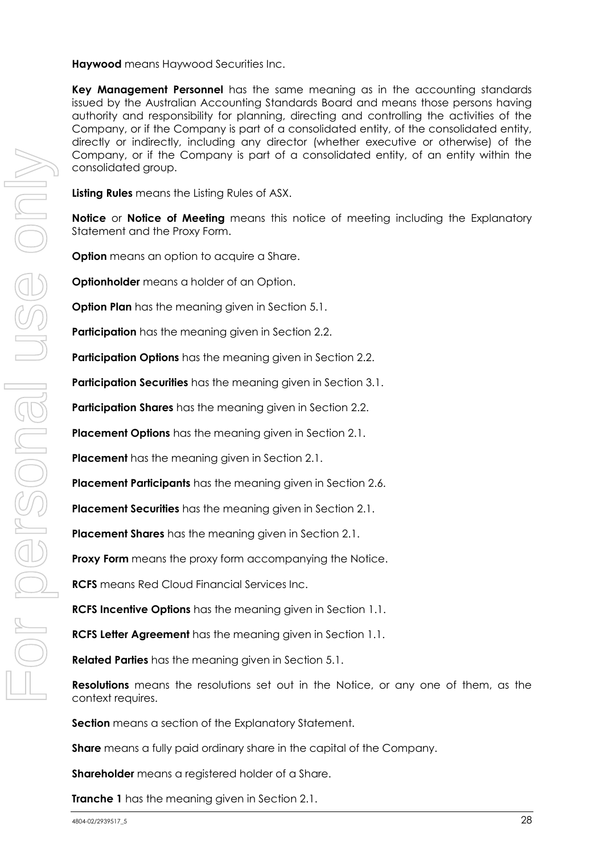**Haywood** means Haywood Securities Inc.

**Key Management Personnel** has the same meaning as in the accounting standards issued by the Australian Accounting Standards Board and means those persons having authority and responsibility for planning, directing and controlling the activities of the Company, or if the Company is part of a consolidated entity, of the consolidated entity, directly or indirectly, including any director (whether executive or otherwise) of the Company, or if the Company is part of a consolidated entity, of an entity within the consolidated group.

**Listing Rules** means the Listing Rules of ASX.

**Notice** or **Notice of Meeting** means this notice of meeting including the Explanatory Statement and the Proxy Form.

**Option** means an option to acquire a Share.

**Optionholder** means a holder of an Option.

**Option Plan** has the meaning given in Section [5.1.](#page-17-0)

**Participation** has the meaning given in Section [2.2.](#page-11-0)

**Participation Options** has the meaning given in Section [2.2.](#page-11-0)

**Participation Securities** has the meaning given in Section [3.1.](#page-13-0)

**Participation Shares** has the meaning given in Section [2.2.](#page-11-0)

**Placement Options** has the meaning given in Section [2.1.](#page-10-0)

**Placement** has the meaning given in Section [2.1.](#page-10-0)

**Placement Participants** has the meaning given in Section [2.6.](#page-12-0)

**Placement Securities** has the meaning given in Section [2.1.](#page-10-0)

**Placement Shares** has the meaning given in Section [2.1.](#page-10-0)

**Proxy Form** means the proxy form accompanying the Notice.

**RCFS** means Red Cloud Financial Services Inc.

**RCFS Incentive Options** has the meaning given in Section [1.1.](#page-9-0)

**RCFS Letter Agreement** has the meaning given in Section [1.1.](#page-9-0)

**Related Parties** has the meaning given in Section [5.1.](#page-17-0)

**Resolutions** means the resolutions set out in the Notice, or any one of them, as the context requires.

**Section** means a section of the Explanatory Statement.

**Share** means a fully paid ordinary share in the capital of the Company.

**Shareholder** means a registered holder of a Share.

**Tranche 1** has the meaning given in Section [2.1.](#page-10-0)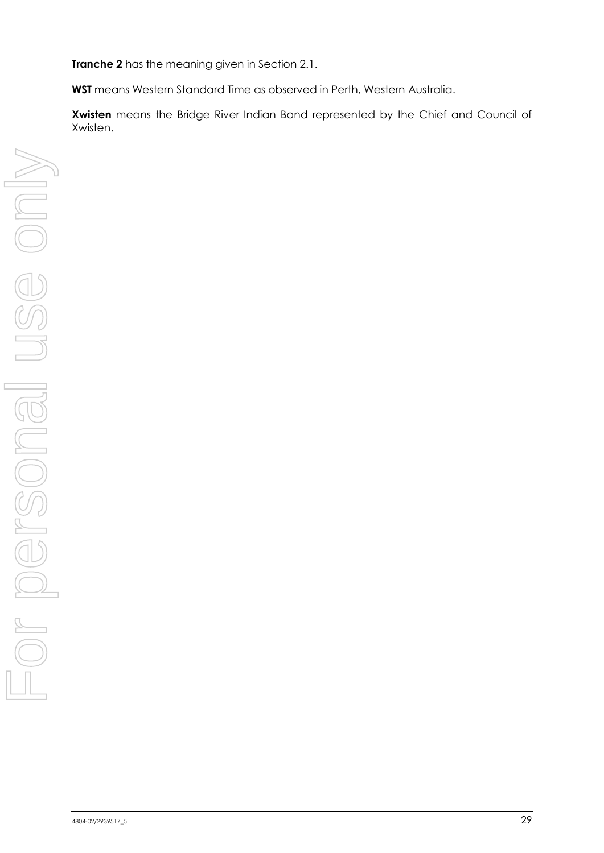**Tranche 2** has the meaning given in Section [2.1.](#page-10-0)

**WST** means Western Standard Time as observed in Perth, Western Australia.

**Xwisten** means the Bridge River Indian Band represented by the Chief and Council of Xwisten.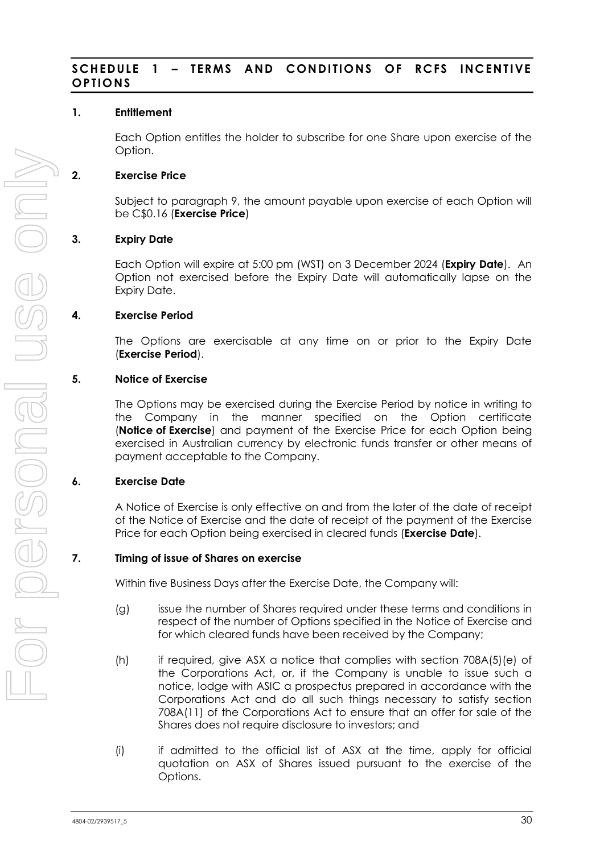#### **SCHEDULE 1 - TERMS AND CONDITIONS OF RCFS INCENTIVE OPTIONS**

#### **1. Entitlement**

Each Option entitles the holder to subscribe for one Share upon exercise of the Option.

#### **2. Exercise Price**

Subject to paragraph [9,](#page-37-0) the amount payable upon exercise of each Option will be C\$0.16 (**Exercise Price**)

#### **3. Expiry Date**

Each Option will expire at 5:00 pm (WST) on 3 December 2024 (**Expiry Date**). An Option not exercised before the Expiry Date will automatically lapse on the Expiry Date.

#### **4. Exercise Period**

The Options are exercisable at any time on or prior to the Expiry Date (**Exercise Period**).

#### **5. Notice of Exercise**

The Options may be exercised during the Exercise Period by notice in writing to the Company in the manner specified on the Option certificate (**Notice of Exercise**) and payment of the Exercise Price for each Option being exercised in Australian currency by electronic funds transfer or other means of payment acceptable to the Company.

#### **6. Exercise Date**

A Notice of Exercise is only effective on and from the later of the date of receipt of the Notice of Exercise and the date of receipt of the payment of the Exercise Price for each Option being exercised in cleared funds (**Exercise Date**).

#### **7. Timing of issue of Shares on exercise**

Within five Business Days after the Exercise Date, the Company will:

- (g) issue the number of Shares required under these terms and conditions in respect of the number of Options specified in the Notice of Exercise and for which cleared funds have been received by the Company;
- (h) if required, give ASX a notice that complies with section 708A(5)(e) of the Corporations Act, or, if the Company is unable to issue such a notice, lodge with ASIC a prospectus prepared in accordance with the Corporations Act and do all such things necessary to satisfy section 708A(11) of the Corporations Act to ensure that an offer for sale of the Shares does not require disclosure to investors; and
- (i) if admitted to the official list of ASX at the time, apply for official quotation on ASX of Shares issued pursuant to the exercise of the Options.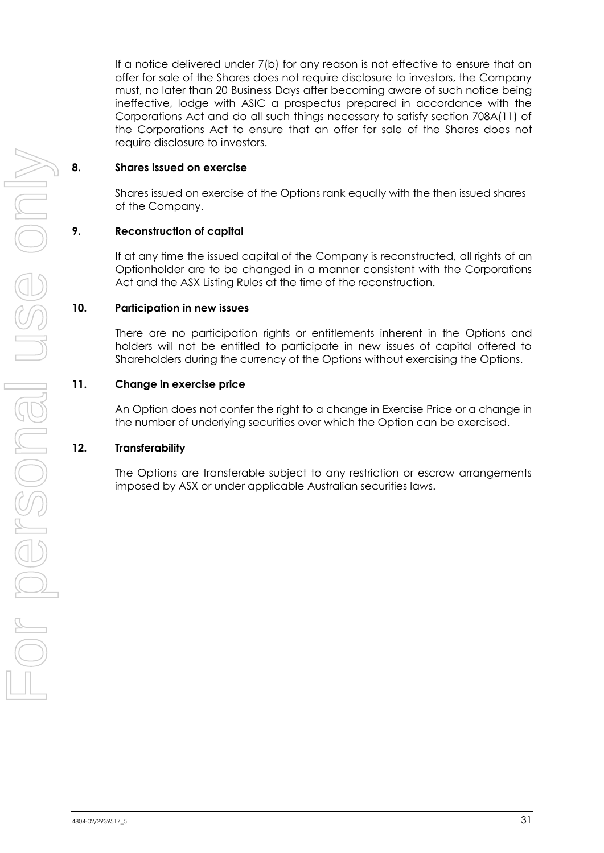If a notice delivered under [7\(b\)](#page-36-0) for any reason is not effective to ensure that an offer for sale of the Shares does not require disclosure to investors, the Company must, no later than 20 Business Days after becoming aware of such notice being ineffective, lodge with ASIC a prospectus prepared in accordance with the Corporations Act and do all such things necessary to satisfy section 708A(11) of the Corporations Act to ensure that an offer for sale of the Shares does not require disclosure to investors.

#### **8. Shares issued on exercise**

Shares issued on exercise of the Options rank equally with the then issued shares of the Company.

#### **9. Reconstruction of capital**

If at any time the issued capital of the Company is reconstructed, all rights of an Optionholder are to be changed in a manner consistent with the Corporations Act and the ASX Listing Rules at the time of the reconstruction.

#### **10. Participation in new issues**

There are no participation rights or entitlements inherent in the Options and holders will not be entitled to participate in new issues of capital offered to Shareholders during the currency of the Options without exercising the Options.

#### **11. Change in exercise price**

An Option does not confer the right to a change in Exercise Price or a change in the number of underlying securities over which the Option can be exercised.

#### **12. Transferability**

The Options are transferable subject to any restriction or escrow arrangements imposed by ASX or under applicable Australian securities laws.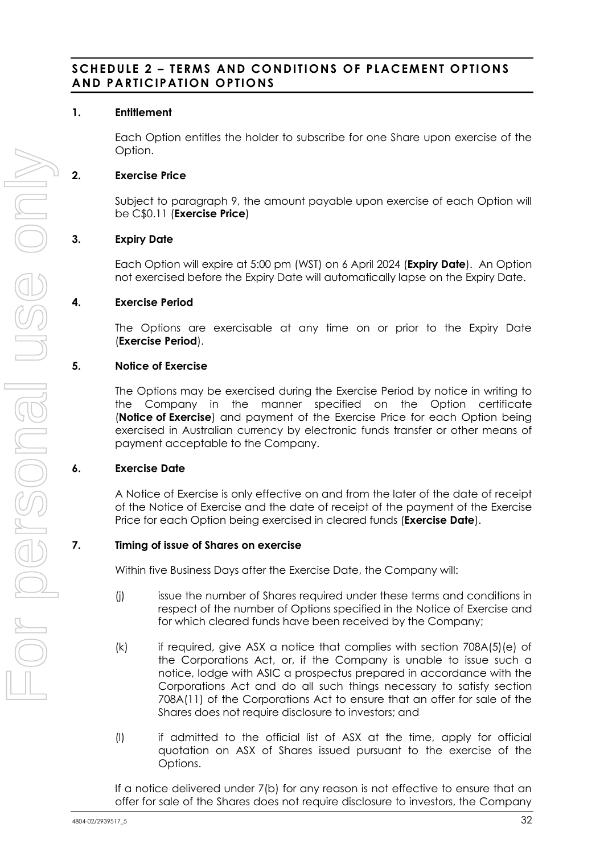#### **SCHEDULE 2 – TERMS AND CONDITIONS OF PLACEMENT OPTIONS AND PARTICIPATION OPTIO NS**

#### **1. Entitlement**

Each Option entitles the holder to subscribe for one Share upon exercise of the Option.

#### **2. Exercise Price**

Subject to paragraph [9,](#page-37-0) the amount payable upon exercise of each Option will be C\$0.11 (**Exercise Price**)

#### **3. Expiry Date**

Each Option will expire at 5:00 pm (WST) on 6 April 2024 (**Expiry Date**). An Option not exercised before the Expiry Date will automatically lapse on the Expiry Date.

#### **4. Exercise Period**

The Options are exercisable at any time on or prior to the Expiry Date (**Exercise Period**).

#### **5. Notice of Exercise**

The Options may be exercised during the Exercise Period by notice in writing to the Company in the manner specified on the Option certificate (**Notice of Exercise**) and payment of the Exercise Price for each Option being exercised in Australian currency by electronic funds transfer or other means of payment acceptable to the Company.

#### **6. Exercise Date**

A Notice of Exercise is only effective on and from the later of the date of receipt of the Notice of Exercise and the date of receipt of the payment of the Exercise Price for each Option being exercised in cleared funds (**Exercise Date**).

#### **7. Timing of issue of Shares on exercise**

Within five Business Days after the Exercise Date, the Company will:

- (j) issue the number of Shares required under these terms and conditions in respect of the number of Options specified in the Notice of Exercise and for which cleared funds have been received by the Company;
- (k) if required, give ASX a notice that complies with section 708A(5)(e) of the Corporations Act, or, if the Company is unable to issue such a notice, lodge with ASIC a prospectus prepared in accordance with the Corporations Act and do all such things necessary to satisfy section 708A(11) of the Corporations Act to ensure that an offer for sale of the Shares does not require disclosure to investors; and
- (l) if admitted to the official list of ASX at the time, apply for official quotation on ASX of Shares issued pursuant to the exercise of the Options.

If a notice delivered under [7\(b\)](#page-36-0) for any reason is not effective to ensure that an offer for sale of the Shares does not require disclosure to investors, the Company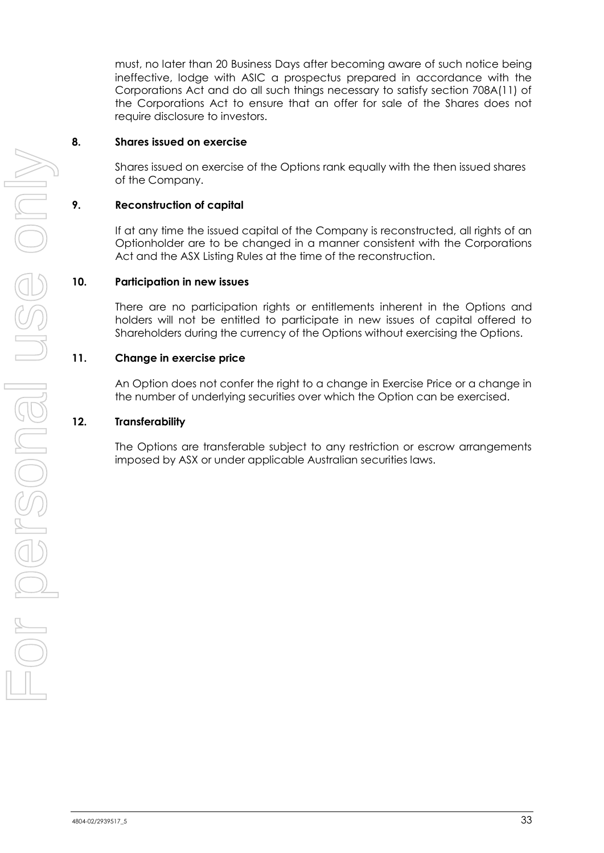must, no later than 20 Business Days after becoming aware of such notice being ineffective, lodge with ASIC a prospectus prepared in accordance with the Corporations Act and do all such things necessary to satisfy section 708A(11) of the Corporations Act to ensure that an offer for sale of the Shares does not require disclosure to investors.

#### **8. Shares issued on exercise**

Shares issued on exercise of the Options rank equally with the then issued shares of the Company.

#### **9. Reconstruction of capital**

If at any time the issued capital of the Company is reconstructed, all rights of an Optionholder are to be changed in a manner consistent with the Corporations Act and the ASX Listing Rules at the time of the reconstruction.

#### **10. Participation in new issues**

There are no participation rights or entitlements inherent in the Options and holders will not be entitled to participate in new issues of capital offered to Shareholders during the currency of the Options without exercising the Options.

#### **11. Change in exercise price**

An Option does not confer the right to a change in Exercise Price or a change in the number of underlying securities over which the Option can be exercised.

#### **12. Transferability**

The Options are transferable subject to any restriction or escrow arrangements imposed by ASX or under applicable Australian securities laws.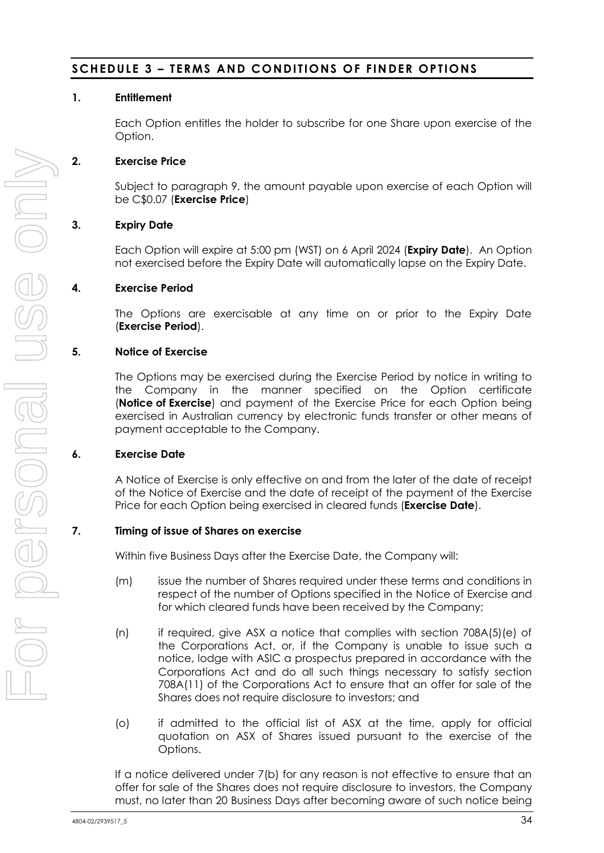#### **SCHEDULE 3 - TERMS AND CONDITIONS OF FINDER OPTIONS**

#### **1. Entitlement**

Each Option entitles the holder to subscribe for one Share upon exercise of the Option.

#### **2. Exercise Price**

Subject to paragraph [9,](#page-37-0) the amount payable upon exercise of each Option will be C\$0.07 (**Exercise Price**)

#### **3. Expiry Date**

Each Option will expire at 5:00 pm (WST) on 6 April 2024 (**Expiry Date**). An Option not exercised before the Expiry Date will automatically lapse on the Expiry Date.

#### **4. Exercise Period**

The Options are exercisable at any time on or prior to the Expiry Date (**Exercise Period**).

#### **5. Notice of Exercise**

The Options may be exercised during the Exercise Period by notice in writing to the Company in the manner specified on the Option certificate (**Notice of Exercise**) and payment of the Exercise Price for each Option being exercised in Australian currency by electronic funds transfer or other means of payment acceptable to the Company.

#### **6. Exercise Date**

A Notice of Exercise is only effective on and from the later of the date of receipt of the Notice of Exercise and the date of receipt of the payment of the Exercise Price for each Option being exercised in cleared funds (**Exercise Date**).

#### **7. Timing of issue of Shares on exercise**

Within five Business Days after the Exercise Date, the Company will:

- (m) issue the number of Shares required under these terms and conditions in respect of the number of Options specified in the Notice of Exercise and for which cleared funds have been received by the Company;
- (n) if required, give ASX a notice that complies with section 708A(5)(e) of the Corporations Act, or, if the Company is unable to issue such a notice, lodge with ASIC a prospectus prepared in accordance with the Corporations Act and do all such things necessary to satisfy section 708A(11) of the Corporations Act to ensure that an offer for sale of the Shares does not require disclosure to investors; and
- (o) if admitted to the official list of ASX at the time, apply for official quotation on ASX of Shares issued pursuant to the exercise of the Options.

If a notice delivered under [7\(b\)](#page-36-0) for any reason is not effective to ensure that an offer for sale of the Shares does not require disclosure to investors, the Company must, no later than 20 Business Days after becoming aware of such notice being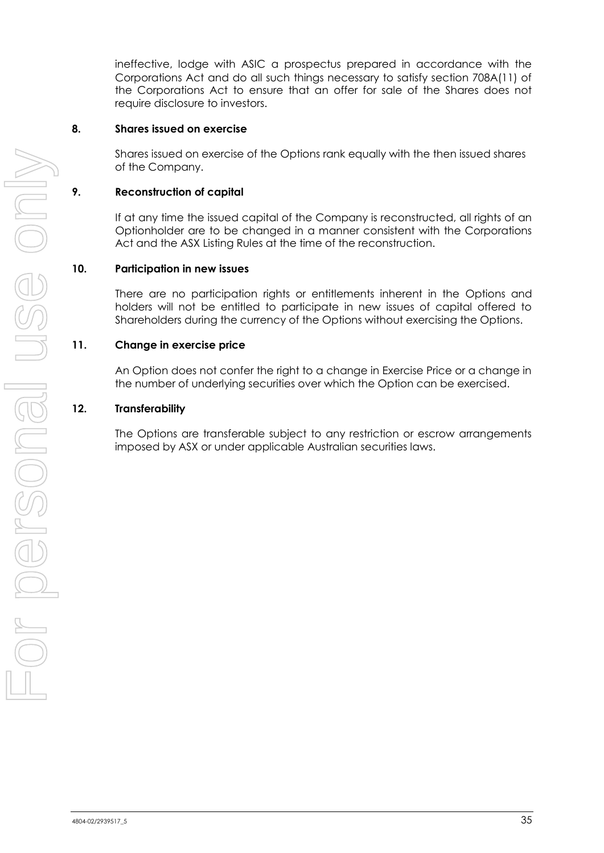ineffective, lodge with ASIC a prospectus prepared in accordance with the Corporations Act and do all such things necessary to satisfy section 708A(11) of the Corporations Act to ensure that an offer for sale of the Shares does not require disclosure to investors.

#### **8. Shares issued on exercise**

Shares issued on exercise of the Options rank equally with the then issued shares of the Company.

#### **9. Reconstruction of capital**

If at any time the issued capital of the Company is reconstructed, all rights of an Optionholder are to be changed in a manner consistent with the Corporations Act and the ASX Listing Rules at the time of the reconstruction.

#### **10. Participation in new issues**

There are no participation rights or entitlements inherent in the Options and holders will not be entitled to participate in new issues of capital offered to Shareholders during the currency of the Options without exercising the Options.

#### **11. Change in exercise price**

An Option does not confer the right to a change in Exercise Price or a change in the number of underlying securities over which the Option can be exercised.

#### **12. Transferability**

The Options are transferable subject to any restriction or escrow arrangements imposed by ASX or under applicable Australian securities laws.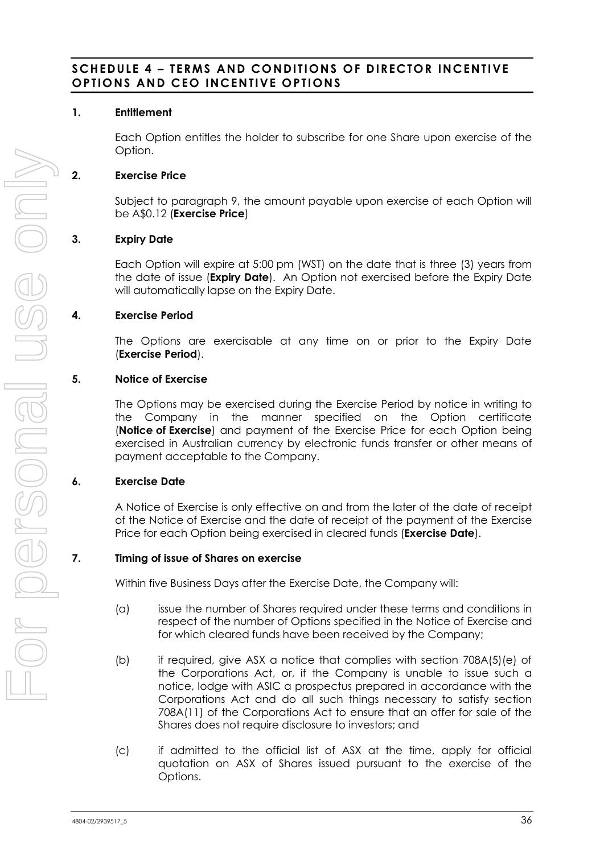#### **SCHEDULE 4 – TERMS AND CONDITIONS OF DIRECTOR INCENTIVE OPTIONS AND CEO INCENTIVE O PTIONS**

#### **1. Entitlement**

Each Option entitles the holder to subscribe for one Share upon exercise of the Option.

#### **2. Exercise Price**

Subject to paragraph [9,](#page-37-0) the amount payable upon exercise of each Option will be A\$0.12 (**Exercise Price**)

#### **3. Expiry Date**

Each Option will expire at 5:00 pm (WST) on the date that is three (3) years from the date of issue (**Expiry Date**). An Option not exercised before the Expiry Date will automatically lapse on the Expiry Date.

#### **4. Exercise Period**

The Options are exercisable at any time on or prior to the Expiry Date (**Exercise Period**).

#### **5. Notice of Exercise**

The Options may be exercised during the Exercise Period by notice in writing to the Company in the manner specified on the Option certificate (**Notice of Exercise**) and payment of the Exercise Price for each Option being exercised in Australian currency by electronic funds transfer or other means of payment acceptable to the Company.

#### **6. Exercise Date**

A Notice of Exercise is only effective on and from the later of the date of receipt of the Notice of Exercise and the date of receipt of the payment of the Exercise Price for each Option being exercised in cleared funds (**Exercise Date**).

#### <span id="page-36-0"></span>**7. Timing of issue of Shares on exercise**

Within five Business Days after the Exercise Date, the Company will:

- (a) issue the number of Shares required under these terms and conditions in respect of the number of Options specified in the Notice of Exercise and for which cleared funds have been received by the Company;
- (b) if required, give ASX a notice that complies with section 708A(5)(e) of the Corporations Act, or, if the Company is unable to issue such a notice, lodge with ASIC a prospectus prepared in accordance with the Corporations Act and do all such things necessary to satisfy section 708A(11) of the Corporations Act to ensure that an offer for sale of the Shares does not require disclosure to investors; and
- (c) if admitted to the official list of ASX at the time, apply for official quotation on ASX of Shares issued pursuant to the exercise of the Options.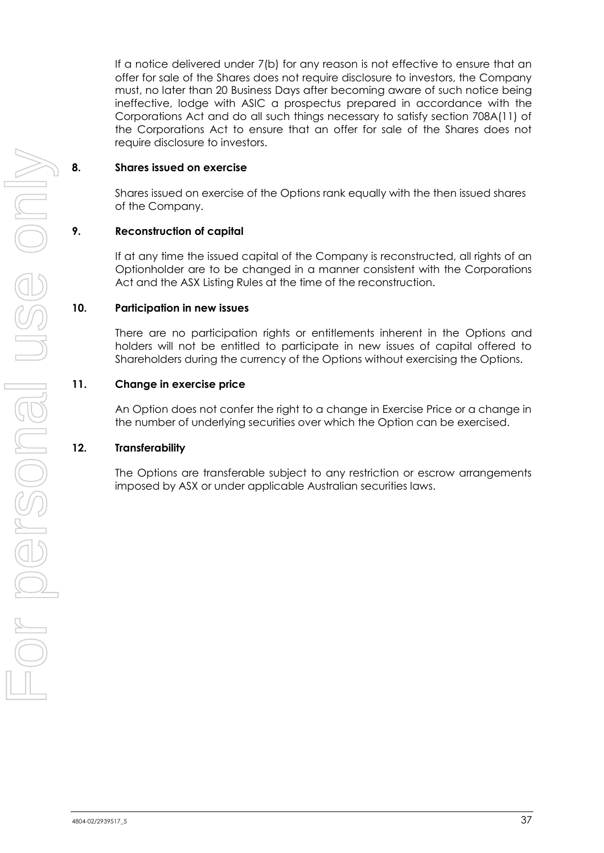If a notice delivered under [7\(b\)](#page-36-0) for any reason is not effective to ensure that an offer for sale of the Shares does not require disclosure to investors, the Company must, no later than 20 Business Days after becoming aware of such notice being ineffective, lodge with ASIC a prospectus prepared in accordance with the Corporations Act and do all such things necessary to satisfy section 708A(11) of the Corporations Act to ensure that an offer for sale of the Shares does not require disclosure to investors.

#### **8. Shares issued on exercise**

Shares issued on exercise of the Options rank equally with the then issued shares of the Company.

#### <span id="page-37-0"></span>**9. Reconstruction of capital**

If at any time the issued capital of the Company is reconstructed, all rights of an Optionholder are to be changed in a manner consistent with the Corporations Act and the ASX Listing Rules at the time of the reconstruction.

#### **10. Participation in new issues**

There are no participation rights or entitlements inherent in the Options and holders will not be entitled to participate in new issues of capital offered to Shareholders during the currency of the Options without exercising the Options.

#### **11. Change in exercise price**

An Option does not confer the right to a change in Exercise Price or a change in the number of underlying securities over which the Option can be exercised.

#### **12. Transferability**

The Options are transferable subject to any restriction or escrow arrangements imposed by ASX or under applicable Australian securities laws.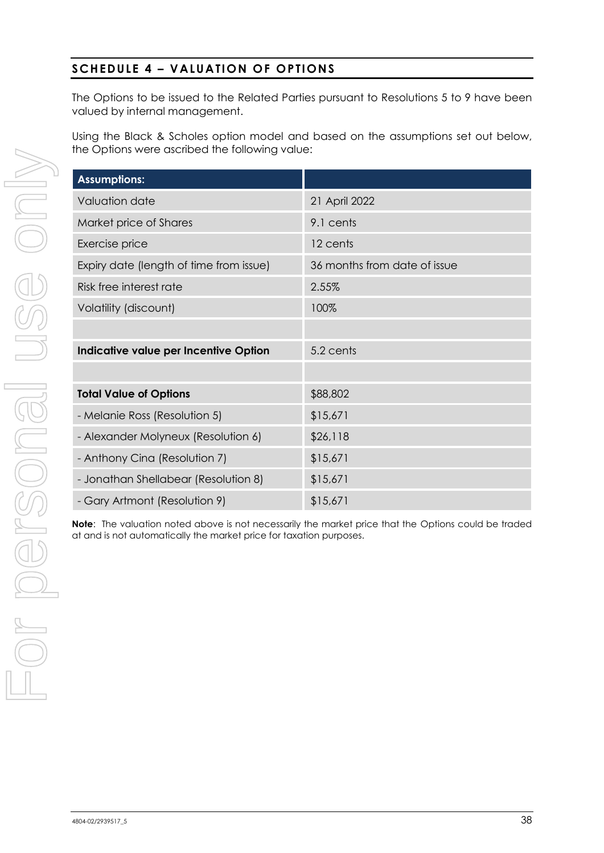### **SCHEDULE 4 – VALUATION OF OPTIONS**

The Options to be issued to the Related Parties pursuant to Resolutions 5 to 9 have been valued by internal management.

Using the Black & Scholes option model and based on the assumptions set out below, the Options were ascribed the following value:

| <b>Assumptions:</b>                     |                              |
|-----------------------------------------|------------------------------|
| Valuation date                          | 21 April 2022                |
| Market price of Shares                  | 9.1 cents                    |
| Exercise price                          | 12 cents                     |
| Expiry date (length of time from issue) | 36 months from date of issue |
| Risk free interest rate                 | 2.55%                        |
| Volatility (discount)                   | 100%                         |
|                                         |                              |
| Indicative value per Incentive Option   | 5.2 cents                    |
|                                         |                              |
| <b>Total Value of Options</b>           | \$88,802                     |
| - Melanie Ross (Resolution 5)           | \$15,671                     |
| - Alexander Molyneux (Resolution 6)     | \$26,118                     |
| - Anthony Cina (Resolution 7)           | \$15,671                     |
| - Jonathan Shellabear (Resolution 8)    | \$15,671                     |
| - Gary Artmont (Resolution 9)           | \$15,671                     |

**Note**: The valuation noted above is not necessarily the market price that the Options could be traded at and is not automatically the market price for taxation purposes.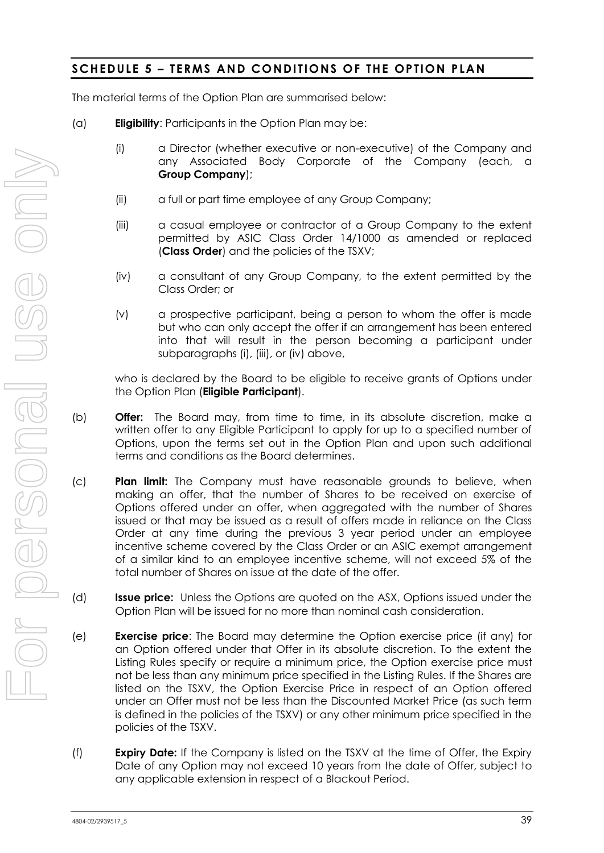#### **SCHEDULE 5 – TERMS AND CONDITIONS OF THE OPTION PLAN**

The material terms of the Option Plan are summarised below:

- (a) **Eligibility**: Participants in the Option Plan may be:
	- (i) a Director (whether executive or non-executive) of the Company and any Associated Body Corporate of the Company (each, a **Group Company**);
	- (ii) a full or part time employee of any Group Company;
	- (iii) a casual employee or contractor of a Group Company to the extent permitted by ASIC Class Order 14/1000 as amended or replaced (**Class Order**) and the policies of the TSXV;
	- (iv) a consultant of any Group Company, to the extent permitted by the Class Order; or
	- (v) a prospective participant, being a person to whom the offer is made but who can only accept the offer if an arrangement has been entered into that will result in the person becoming a participant under subparagraphs (i), (iii), or (iv) above,

who is declared by the Board to be eligible to receive grants of Options under the Option Plan (**Eligible Participant**).

- (b) **Offer:** The Board may, from time to time, in its absolute discretion, make a written offer to any Eligible Participant to apply for up to a specified number of Options, upon the terms set out in the Option Plan and upon such additional terms and conditions as the Board determines.
- (c) **Plan limit:** The Company must have reasonable grounds to believe, when making an offer, that the number of Shares to be received on exercise of Options offered under an offer, when aggregated with the number of Shares issued or that may be issued as a result of offers made in reliance on the Class Order at any time during the previous 3 year period under an employee incentive scheme covered by the Class Order or an ASIC exempt arrangement of a similar kind to an employee incentive scheme, will not exceed 5% of the total number of Shares on issue at the date of the offer.
- (d) **Issue price:** Unless the Options are quoted on the ASX, Options issued under the Option Plan will be issued for no more than nominal cash consideration.
- (e) **Exercise price**: The Board may determine the Option exercise price (if any) for an Option offered under that Offer in its absolute discretion. To the extent the Listing Rules specify or require a minimum price, the Option exercise price must not be less than any minimum price specified in the Listing Rules. If the Shares are listed on the TSXV, the Option Exercise Price in respect of an Option offered under an Offer must not be less than the Discounted Market Price (as such term is defined in the policies of the TSXV) or any other minimum price specified in the policies of the TSXV.
- (f) **Expiry Date:** If the Company is listed on the TSXV at the time of Offer, the Expiry Date of any Option may not exceed 10 years from the date of Offer, subject to any applicable extension in respect of a Blackout Period.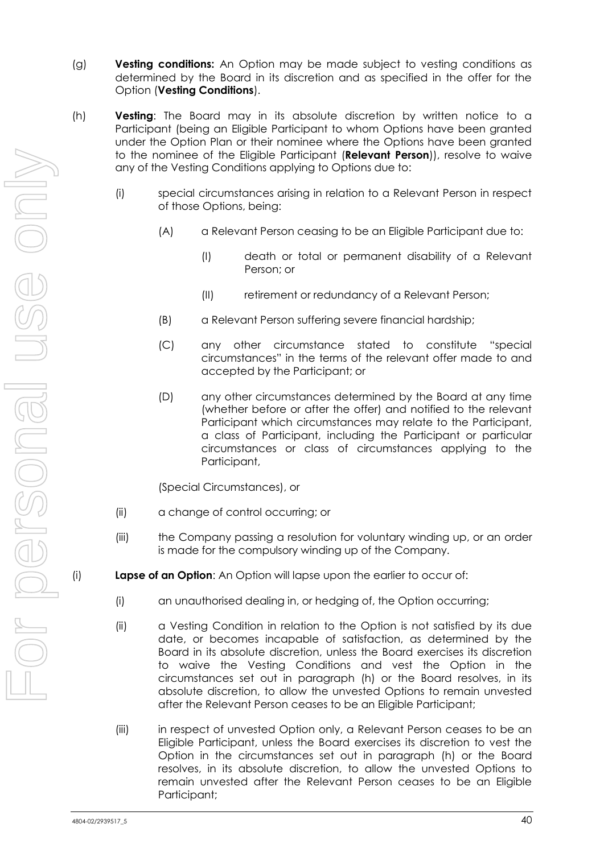- (g) **Vesting conditions:** An Option may be made subject to vesting conditions as determined by the Board in its discretion and as specified in the offer for the Option (**Vesting Conditions**).
- <span id="page-40-0"></span>(h) **Vesting**: The Board may in its absolute discretion by written notice to a Participant (being an Eligible Participant to whom Options have been granted under the Option Plan or their nominee where the Options have been granted to the nominee of the Eligible Participant (**Relevant Person**)), resolve to waive any of the Vesting Conditions applying to Options due to:
	- (i) special circumstances arising in relation to a Relevant Person in respect of those Options, being:
		- (A) a Relevant Person ceasing to be an Eligible Participant due to:
			- (I) death or total or permanent disability of a Relevant Person; or
			- (II) retirement or redundancy of a Relevant Person;
		- (B) a Relevant Person suffering severe financial hardship;
		- (C) any other circumstance stated to constitute "special circumstances" in the terms of the relevant offer made to and accepted by the Participant; or
		- (D) any other circumstances determined by the Board at any time (whether before or after the offer) and notified to the relevant Participant which circumstances may relate to the Participant, a class of Participant, including the Participant or particular circumstances or class of circumstances applying to the Participant,

(Special Circumstances), or

- (ii) a change of control occurring; or
- (iii) the Company passing a resolution for voluntary winding up, or an order is made for the compulsory winding up of the Company.
- (i) **Lapse of an Option**: An Option will lapse upon the earlier to occur of:
	- (i) an unauthorised dealing in, or hedging of, the Option occurring;
	- (ii) a Vesting Condition in relation to the Option is not satisfied by its due date, or becomes incapable of satisfaction, as determined by the Board in its absolute discretion, unless the Board exercises its discretion to waive the Vesting Conditions and vest the Option in the circumstances set out in paragraph [\(h\)](#page-40-0) or the Board resolves, in its absolute discretion, to allow the unvested Options to remain unvested after the Relevant Person ceases to be an Eligible Participant;
	- (iii) in respect of unvested Option only, a Relevant Person ceases to be an Eligible Participant, unless the Board exercises its discretion to vest the Option in the circumstances set out in paragraph [\(h\)](#page-40-0) or the Board resolves, in its absolute discretion, to allow the unvested Options to remain unvested after the Relevant Person ceases to be an Eligible Participant;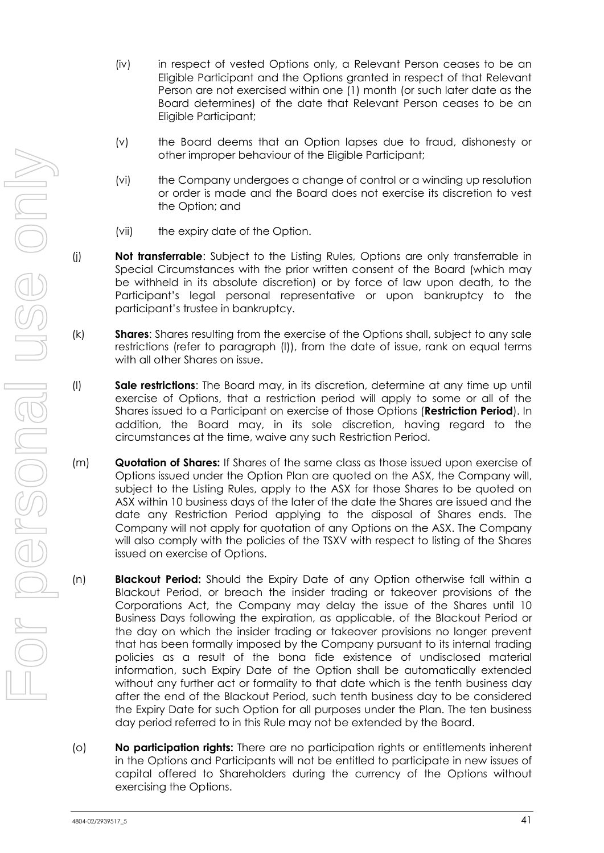- (iv) in respect of vested Options only, a Relevant Person ceases to be an Eligible Participant and the Options granted in respect of that Relevant Person are not exercised within one (1) month (or such later date as the Board determines) of the date that Relevant Person ceases to be an Eligible Participant;
- (v) the Board deems that an Option lapses due to fraud, dishonesty or other improper behaviour of the Eligible Participant;
- (vi) the Company undergoes a change of control or a winding up resolution or order is made and the Board does not exercise its discretion to vest the Option; and
- (vii) the expiry date of the Option.
- (j) **Not transferrable**: Subject to the Listing Rules, Options are only transferrable in Special Circumstances with the prior written consent of the Board (which may be withheld in its absolute discretion) or by force of law upon death, to the Participant's legal personal representative or upon bankruptcy to the participant's trustee in bankruptcy.
- (k) **Shares**: Shares resulting from the exercise of the Options shall, subject to any sale restrictions (refer to paragraph [\(l\)\)](#page-41-0), from the date of issue, rank on equal terms with all other Shares on issue.
- <span id="page-41-0"></span>(l) **Sale restrictions**: The Board may, in its discretion, determine at any time up until exercise of Options, that a restriction period will apply to some or all of the Shares issued to a Participant on exercise of those Options (**Restriction Period**). In addition, the Board may, in its sole discretion, having regard to the circumstances at the time, waive any such Restriction Period.
- (m) **Quotation of Shares:** If Shares of the same class as those issued upon exercise of Options issued under the Option Plan are quoted on the ASX, the Company will, subject to the Listing Rules, apply to the ASX for those Shares to be quoted on ASX within 10 business days of the later of the date the Shares are issued and the date any Restriction Period applying to the disposal of Shares ends. The Company will not apply for quotation of any Options on the ASX. The Company will also comply with the policies of the TSXV with respect to listing of the Shares issued on exercise of Options.
- (n) **Blackout Period:** Should the Expiry Date of any Option otherwise fall within a Blackout Period, or breach the insider trading or takeover provisions of the Corporations Act, the Company may delay the issue of the Shares until 10 Business Days following the expiration, as applicable, of the Blackout Period or the day on which the insider trading or takeover provisions no longer prevent that has been formally imposed by the Company pursuant to its internal trading policies as a result of the bona fide existence of undisclosed material information, such Expiry Date of the Option shall be automatically extended without any further act or formality to that date which is the tenth business day after the end of the Blackout Period, such tenth business day to be considered the Expiry Date for such Option for all purposes under the Plan. The ten business day period referred to in this Rule may not be extended by the Board.
- (o) **No participation rights:** There are no participation rights or entitlements inherent in the Options and Participants will not be entitled to participate in new issues of capital offered to Shareholders during the currency of the Options without exercising the Options.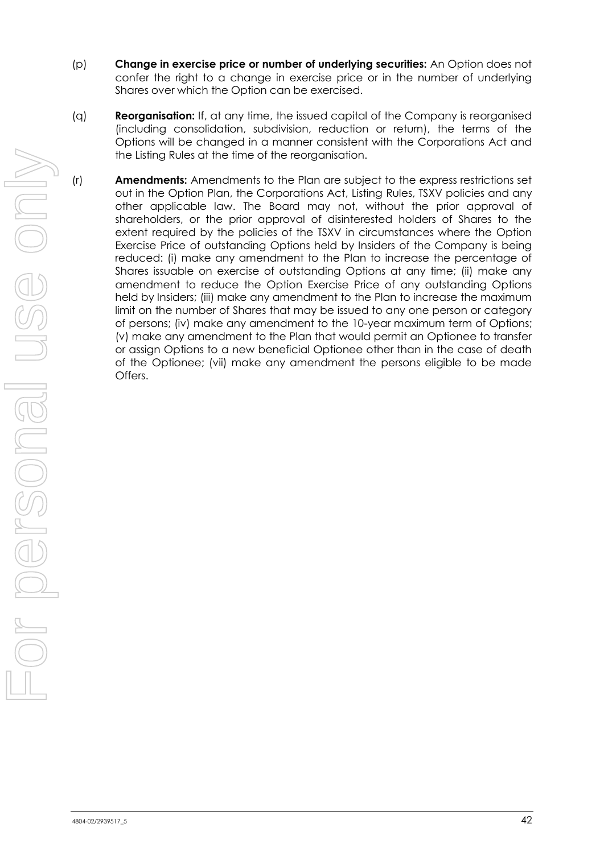- (p) **Change in exercise price or number of underlying securities:** An Option does not confer the right to a change in exercise price or in the number of underlying Shares over which the Option can be exercised.
- (q) **Reorganisation:** If, at any time, the issued capital of the Company is reorganised (including consolidation, subdivision, reduction or return), the terms of the Options will be changed in a manner consistent with the Corporations Act and the Listing Rules at the time of the reorganisation.
- (r) **Amendments:** Amendments to the Plan are subject to the express restrictions set out in the Option Plan, the Corporations Act, Listing Rules, TSXV policies and any other applicable law. The Board may not, without the prior approval of shareholders, or the prior approval of disinterested holders of Shares to the extent required by the policies of the TSXV in circumstances where the Option Exercise Price of outstanding Options held by Insiders of the Company is being reduced: (i) make any amendment to the Plan to increase the percentage of Shares issuable on exercise of outstanding Options at any time; (ii) make any amendment to reduce the Option Exercise Price of any outstanding Options held by Insiders; (iii) make any amendment to the Plan to increase the maximum limit on the number of Shares that may be issued to any one person or category of persons; (iv) make any amendment to the 10-year maximum term of Options; (v) make any amendment to the Plan that would permit an Optionee to transfer or assign Options to a new beneficial Optionee other than in the case of death of the Optionee; (vii) make any amendment the persons eligible to be made Offers.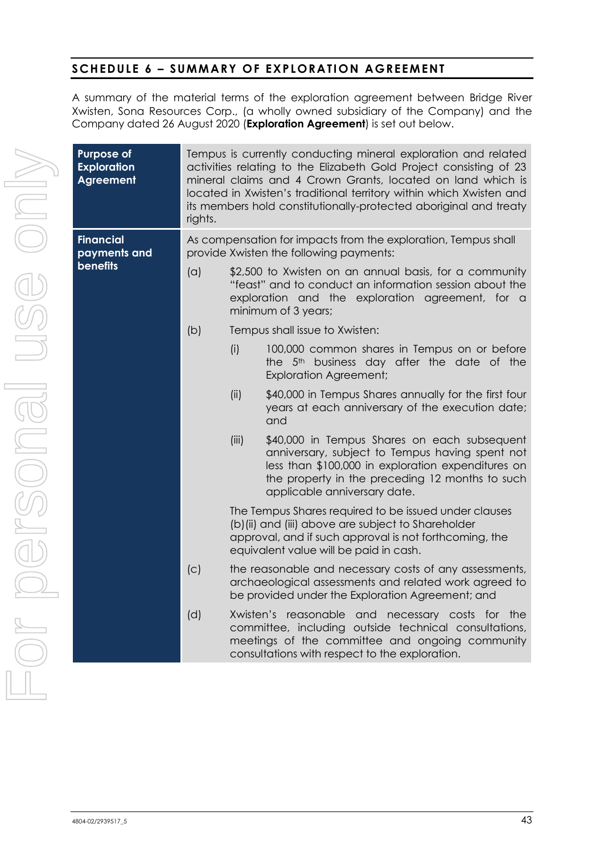#### **SCHEDULE 6 - SUMMARY OF EXPLORATION AGREEMENT**

A summary of the material terms of the exploration agreement between Bridge River Xwisten, Sona Resources Corp., (a wholly owned subsidiary of the Company) and the Company dated 26 August 2020 (**Exploration Agreement**) is set out below.

| <b>Purpose of</b><br><b>Exploration</b><br><b>Agreement</b> | rights.                                                                                                   | Tempus is currently conducting mineral exploration and related<br>activities relating to the Elizabeth Gold Project consisting of 23<br>mineral claims and 4 Crown Grants, located on land which is<br>located in Xwisten's traditional territory within which Xwisten and<br>its members hold constitutionally-protected aboriginal and treaty |                                                                                                                                                                                                                                          |  |  |  |  |  |  |
|-------------------------------------------------------------|-----------------------------------------------------------------------------------------------------------|-------------------------------------------------------------------------------------------------------------------------------------------------------------------------------------------------------------------------------------------------------------------------------------------------------------------------------------------------|------------------------------------------------------------------------------------------------------------------------------------------------------------------------------------------------------------------------------------------|--|--|--|--|--|--|
| <b>Financial</b><br>payments and                            | As compensation for impacts from the exploration, Tempus shall<br>provide Xwisten the following payments: |                                                                                                                                                                                                                                                                                                                                                 |                                                                                                                                                                                                                                          |  |  |  |  |  |  |
| <b>benefits</b>                                             | (a)                                                                                                       | \$2,500 to Xwisten on an annual basis, for a community<br>"feast" and to conduct an information session about the<br>exploration and the exploration agreement, for a<br>minimum of 3 years;                                                                                                                                                    |                                                                                                                                                                                                                                          |  |  |  |  |  |  |
|                                                             | (b)                                                                                                       |                                                                                                                                                                                                                                                                                                                                                 | Tempus shall issue to Xwisten:                                                                                                                                                                                                           |  |  |  |  |  |  |
|                                                             |                                                                                                           | (i)                                                                                                                                                                                                                                                                                                                                             | 100,000 common shares in Tempus on or before<br>the 5 <sup>th</sup> business day after the date of the<br><b>Exploration Agreement;</b>                                                                                                  |  |  |  |  |  |  |
|                                                             |                                                                                                           | (ii)                                                                                                                                                                                                                                                                                                                                            | \$40,000 in Tempus Shares annually for the first four<br>years at each anniversary of the execution date;<br>and                                                                                                                         |  |  |  |  |  |  |
|                                                             |                                                                                                           | (iii)                                                                                                                                                                                                                                                                                                                                           | \$40,000 in Tempus Shares on each subsequent<br>anniversary, subject to Tempus having spent not<br>less than \$100,000 in exploration expenditures on<br>the property in the preceding 12 months to such<br>applicable anniversary date. |  |  |  |  |  |  |
|                                                             | (C)                                                                                                       | The Tempus Shares required to be issued under clauses<br>(b) (ii) and (iii) above are subject to Shareholder<br>approval, and if such approval is not forthcoming, the<br>equivalent value will be paid in cash.                                                                                                                                |                                                                                                                                                                                                                                          |  |  |  |  |  |  |
|                                                             |                                                                                                           | the reasonable and necessary costs of any assessments,<br>archaeological assessments and related work agreed to<br>be provided under the Exploration Agreement; and                                                                                                                                                                             |                                                                                                                                                                                                                                          |  |  |  |  |  |  |
|                                                             | (d)                                                                                                       |                                                                                                                                                                                                                                                                                                                                                 | Xwisten's reasonable and<br>necessary costs for the<br>committee, including outside technical consultations,<br>meetings of the committee and ongoing community<br>consultations with respect to the exploration.                        |  |  |  |  |  |  |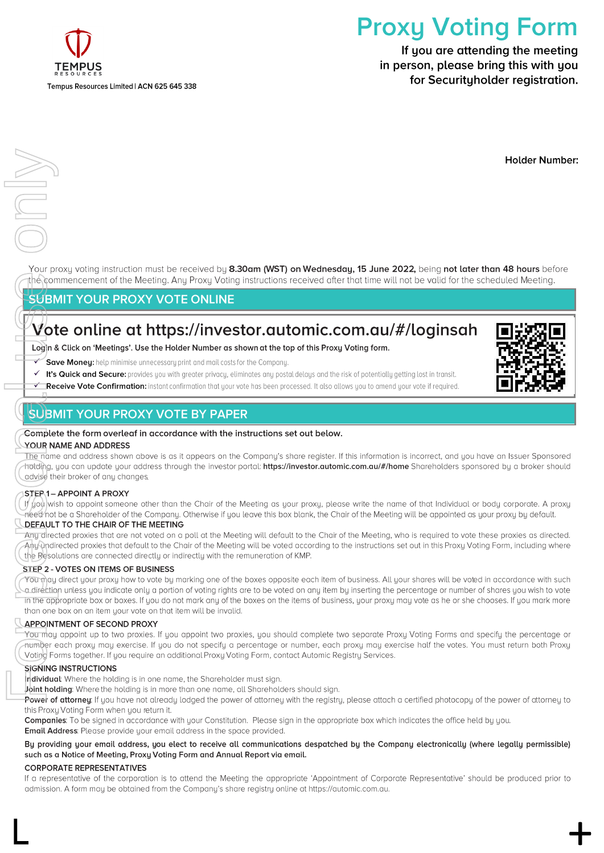

# **Proxy Voting Form**

If you are attending the meeting in person, please bring this with you for Securityholder registration.

**Holder Number:** 

Your proxy voting instruction must be received by 8.30am (WST) on Wednesday, 15 June 2022, being not later than 48 hours before the commencement of the Meeting. Any Proxy Voting instructions received after that time will not be valid for the scheduled Meeting.

#### **SUBMIT YOUR PROXY VOTE ONLINE**

# Vote online at https://investor.automic.com.au/#/loginsah

Login & Click on 'Meetings'. Use the Holder Number as shown at the top of this Proxy Voting form.

- Save Moneu: help minimise unnecessaru print and mail costs for the Companu. ✓
- √ It's Quick and Secure: provides you with greater privacy, eliminates any postal delays and the risk of potentially getting lost in transit.
- Receive Vote Confirmation: instant confirmation that your vote has been processed. It also allows you to amend your vote if required. ✓

#### **SUBMIT YOUR PROXY VOTE BY PAPER**



#### YOUR NAME AND ADDRESS

The name and address shown above is as it appears on the Companu's share reaister. If this information is incorrect, and uou have an Issuer Sponsored hotding, you can update your address through the investor portal: https://investor.automic.com.au/#/home Shareholders sponsored by a broker should advise their broker of any changes.

#### STEP 1- APPOINT A PROXY

If you wish to appoint someone other than the Chair of the Meeting as your proxy, please write the name of that Individual or body corporate. A proxy need not be a Shareholder of the Company. Otherwise if you leave this box blank, the Chair of the Meeting will be appointed as your proxy by default.

#### DEFAULT TO THE CHAIR OF THE MEETING

Any directed proxies that are not voted on a poll at the Meeting will default to the Chair of the Meeting, who is required to vote these proxies as directed. Any undirected proxies that default to the Chair of the Meeting will be voted according to the instructions set out in this Proxy Voting Form, including where the Resolutions are connected directly or indirectly with the remuneration of KMP.

#### STEP 2 - VOTES ON ITEMS OF BUSINESS

For Personal USU BIN<br>For Personal USU BIN<br>For Personal USU BIN<br>For Personal USU BIN<br>For Personal USU BIN<br>For Personal USEFAULT<br>Any direction of DEFAULT<br>Any direction of DEFAULT<br>Any direction of DEFAULT<br>Any direction of DEF You may direct your proxy how to vote by marking one of the boxes opposite each item of business. All your shares will be voted in accordance with such a direction unless you indicate only a portion of voting rights are to be voted on any item by inserting the percentage or number of shares you wish to vote in the appropriate box or boxes. If you do not mark any of the boxes on the items of business, your proxy may vote as he or she chooses. If you mark more than one box on an item your vote on that item will be invalid.

#### **APPOINTMENT OF SECOND PROXY**

You may appoint up to two proxies. If you appoint two proxies, you should complete two separate Proxy Voting Forms and specify the percentage or number each proxy may exercise. If you do not specify a percentage or number, each proxy may exercise half the votes. You must return both Proxy Voting Forms together. If you require an additional Proxy Voting Form, contact Automic Registry Services.

#### **SIGNING INSTRUCTIONS**

Thdividual: Where the holding is in one name, the Shareholder must sign.

Joint holding: Where the holding is in more than one name, all Shareholders should sign.

Power of attorney: If you have not already lodged the power of attorney with the registry, please attach a certified photocopy of the power of attorney to this Proxy Voting Form when you return it.

Companies: To be signed in accordance with your Constitution. Please sign in the appropriate box which indicates the office held by you. **Email Address:** Please provide your email address in the space provided.

#### By providing your email address, you elect to receive all communications despatched by the Company electronically (where legally permissible) such as a Notice of Meeting, Proxy Voting Form and Annual Report via email.

#### **CORPORATE REPRESENTATIVES**

If a representative of the corporation is to attend the Meeting the appropriate 'Appointment of Corporate Representative' should be produced prior to admission. A form may be obtained from the Company's share registry online at https://automic.com.au.

 $\Box$